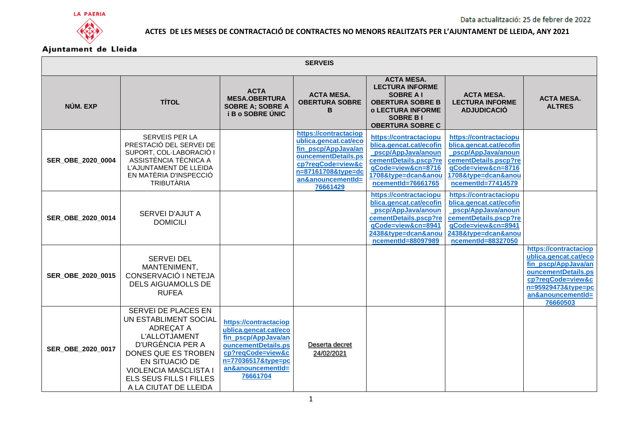



| <b>SERVEIS</b>    |                                                                                                                                                                                                                             |                                                                                                                                                                          |                                                                                                                                                                          |                                                                                                                                                                      |                                                                                                                                                                     |                                                                                                                                                                          |  |
|-------------------|-----------------------------------------------------------------------------------------------------------------------------------------------------------------------------------------------------------------------------|--------------------------------------------------------------------------------------------------------------------------------------------------------------------------|--------------------------------------------------------------------------------------------------------------------------------------------------------------------------|----------------------------------------------------------------------------------------------------------------------------------------------------------------------|---------------------------------------------------------------------------------------------------------------------------------------------------------------------|--------------------------------------------------------------------------------------------------------------------------------------------------------------------------|--|
| NÚM. EXP          | <b>TÍTOL</b>                                                                                                                                                                                                                | <b>ACTA</b><br><b>MESA.OBERTURA</b><br><b>SOBRE A; SOBRE A</b><br><b>i B o SOBRE UNIC</b>                                                                                | <b>ACTA MESA.</b><br><b>OBERTURA SOBRE</b><br>в                                                                                                                          | <b>ACTA MESA.</b><br><b>LECTURA INFORME</b><br><b>SOBRE A I</b><br><b>OBERTURA SOBRE B</b><br><b>o LECTURA INFORME</b><br><b>SOBRE BI</b><br><b>OBERTURA SOBRE C</b> | <b>ACTA MESA.</b><br><b>LECTURA INFORME</b><br><b>ADJUDICACIÓ</b>                                                                                                   | <b>ACTA MESA.</b><br><b>ALTRES</b>                                                                                                                                       |  |
| SER_OBE_2020_0004 | <b>SERVEIS PER LA</b><br>PRESTACIÓ DEL SERVEI DE<br>SUPORT, COL·LABORACIÓ I<br>ASSISTÈNCIA TÈCNICA A<br>L'AJUNTAMENT DE LLEIDA<br>EN MATÈRIA D'INSPECCIÓ<br><b>TRIBUTÀRIA</b>                                               |                                                                                                                                                                          | https://contractaciop<br>ublica.gencat.cat/eco<br>fin pscp/AppJava/an<br>ouncementDetails.ps<br>cp?reqCode=view&c<br>n=87161708&type=dc<br>an&anouncementId=<br>76661429 | https://contractaciopu<br>blica.gencat.cat/ecofin<br>pscp/AppJava/anoun<br>cementDetails.pscp?re<br>qCode=view&cn=8716<br>1708&type=dcan&anou<br>ncementId=76661765  | https://contractaciopu<br>blica.gencat.cat/ecofin<br>pscp/AppJava/anoun<br>cementDetails.pscp?re<br>qCode=view&cn=8716<br>1708&type=dcan&anou<br>ncementId=77414579 |                                                                                                                                                                          |  |
| SER OBE 2020 0014 | SERVEI D'AJUT A<br><b>DOMICILI</b>                                                                                                                                                                                          |                                                                                                                                                                          |                                                                                                                                                                          | https://contractaciopu<br>blica.gencat.cat/ecofin<br>pscp/AppJava/anoun<br>cementDetails.pscp?re<br>qCode=view&cn=8941<br>2438&type=dcan&anou<br>ncementId=88097989  | https://contractaciopu<br>blica.gencat.cat/ecofin<br>pscp/AppJava/anoun<br>cementDetails.pscp?re<br>qCode=view&cn=8941<br>2438&type=dcan&anou<br>ncementId=88327050 |                                                                                                                                                                          |  |
| SER OBE 2020 0015 | <b>SERVEI DEL</b><br>MANTENIMENT,<br>CONSERVACIÓ I NETEJA<br><b>DELS AIGUAMOLLS DE</b><br><b>RUFEA</b>                                                                                                                      |                                                                                                                                                                          |                                                                                                                                                                          |                                                                                                                                                                      |                                                                                                                                                                     | https://contractaciop<br>ublica.gencat.cat/eco<br>fin_pscp/AppJava/an<br>ouncementDetails.ps<br>cp?reqCode=view&c<br>n=95929473&type=pc<br>an&anouncementId=<br>76660503 |  |
| SER OBE 2020 0017 | SERVEI DE PLACES EN<br>UN ESTABLIMENT SOCIAL<br>ADREÇAT A<br>L'ALLOTJAMENT<br>D'URGÈNCIA PER A<br>DONES QUE ES TROBEN<br>EN SITUACIÓ DE<br><b>VIOLENCIA MASCLISTA I</b><br>ELS SEUS FILLS I FILLES<br>A LA CIUTAT DE LLEIDA | https://contractaciop<br>ublica.gencat.cat/eco<br>fin pscp/AppJava/an<br>ouncementDetails.ps<br>cp?regCode=view&c<br>n=77036517&type=pc<br>an&anouncementId=<br>76661704 | Deserta decret<br>24/02/2021                                                                                                                                             |                                                                                                                                                                      |                                                                                                                                                                     |                                                                                                                                                                          |  |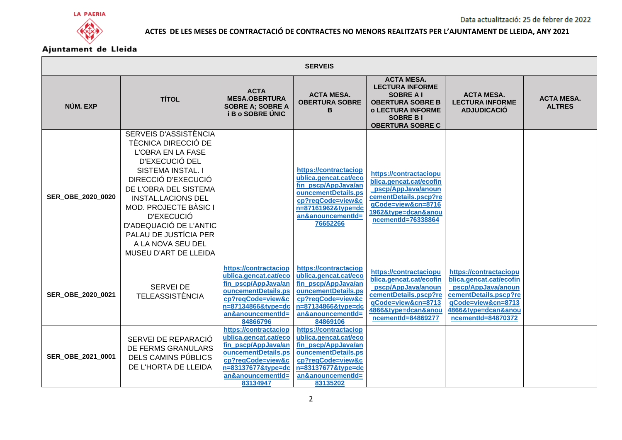



| <b>SERVEIS</b>    |                                                                                                                                                                                                                                                                                                                               |                                                                                                                                                                          |                                                                                                                                                                          |                                                                                                                                                                      |                                                                                                                                                                     |                                    |  |
|-------------------|-------------------------------------------------------------------------------------------------------------------------------------------------------------------------------------------------------------------------------------------------------------------------------------------------------------------------------|--------------------------------------------------------------------------------------------------------------------------------------------------------------------------|--------------------------------------------------------------------------------------------------------------------------------------------------------------------------|----------------------------------------------------------------------------------------------------------------------------------------------------------------------|---------------------------------------------------------------------------------------------------------------------------------------------------------------------|------------------------------------|--|
| NÚM. EXP          | <b>TÍTOL</b>                                                                                                                                                                                                                                                                                                                  | <b>ACTA</b><br><b>MESA.OBERTURA</b><br><b>SOBRE A; SOBRE A</b><br><b>i B o SOBRE UNIC</b>                                                                                | <b>ACTA MESA.</b><br><b>OBERTURA SOBRE</b><br>в                                                                                                                          | <b>ACTA MESA.</b><br><b>LECTURA INFORME</b><br><b>SOBRE AI</b><br><b>OBERTURA SOBRE B</b><br><b>o LECTURA INFORME</b><br><b>SOBRE BI</b><br><b>OBERTURA SOBRE C</b>  | <b>ACTA MESA.</b><br><b>LECTURA INFORME</b><br><b>ADJUDICACIÓ</b>                                                                                                   | <b>ACTA MESA.</b><br><b>ALTRES</b> |  |
| SER OBE 2020 0020 | SERVEIS D'ASSISTÈNCIA<br>TÈCNICA DIRECCIÓ DE<br>L'OBRA EN LA FASE<br>D'EXECUCIÓ DEL<br>SISTEMA INSTAL. I<br>DIRECCIÓ D'EXECUCIÓ<br>DE L'OBRA DEL SISTEMA<br><b>INSTAL.LACIONS DEL</b><br>MOD. PROJECTE BÀSIC I<br>D'EXECUCIÓ<br>D'ADEQUACIÓ DE L'ANTIC<br>PALAU DE JUSTÍCIA PER<br>A LA NOVA SEU DEL<br>MUSEU D'ART DE LLEIDA |                                                                                                                                                                          | https://contractaciop<br>ublica.gencat.cat/eco<br>fin_pscp/AppJava/an<br>ouncementDetails.ps<br>cp?reqCode=view&c<br>n=87161962&type=dc<br>an&anouncementId=<br>76652266 | https://contractaciopu<br>blica.gencat.cat/ecofin<br>_pscp/AppJava/anoun<br>cementDetails.pscp?re<br>qCode=view&cn=8716<br>1962&type=dcan&anou<br>ncementId=76338864 |                                                                                                                                                                     |                                    |  |
| SER_OBE_2020_0021 | <b>SERVEI DE</b><br><b>TELEASSISTÈNCIA</b>                                                                                                                                                                                                                                                                                    | https://contractaciop<br>ublica.gencat.cat/eco<br>fin pscp/AppJava/an<br>ouncementDetails.ps<br>cp?reqCode=view&c<br>n=87134866&type=dc<br>an&anouncementId=<br>84866796 | https://contractaciop<br>ublica.gencat.cat/eco<br>fin pscp/AppJava/an<br>ouncementDetails.ps<br>cp?reqCode=view&c<br>n=87134866&type=dc<br>an&anouncementId=<br>84869106 | https://contractaciopu<br>blica.gencat.cat/ecofin<br>pscp/AppJava/anoun<br>cementDetails.pscp?re<br>qCode=view&cn=8713<br>4866&type=dcan&anou<br>ncementId=84869277  | https://contractaciopu<br>blica.gencat.cat/ecofin<br>pscp/AppJava/anoun<br>cementDetails.pscp?re<br>qCode=view&cn=8713<br>4866&type=dcan&anou<br>ncementId=84870372 |                                    |  |
| SER OBE 2021 0001 | SERVEI DE REPARACIÓ<br>DE FERMS GRANULARS<br>DELS CAMINS PÚBLICS<br>DE L'HORTA DE LLEIDA                                                                                                                                                                                                                                      | https://contractaciop<br>ublica.gencat.cat/eco<br>fin_pscp/AppJava/an<br>ouncementDetails.ps<br>cp?reqCode=view&c<br>n=83137677&type=dc<br>an&anouncementId=<br>83134947 | https://contractaciop<br>ublica.gencat.cat/eco<br>fin_pscp/AppJava/an<br>ouncementDetails.ps<br>cp?reqCode=view&c<br>n=83137677&type=dc<br>an&anouncementId=<br>83135202 |                                                                                                                                                                      |                                                                                                                                                                     |                                    |  |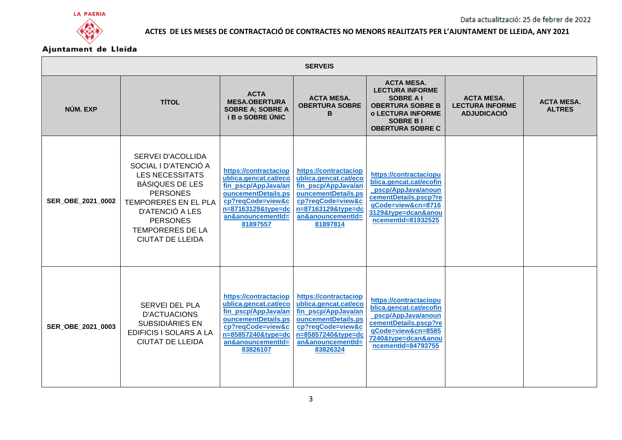



| <b>SERVEIS</b>    |                                                                                                                                                                                                                               |                                                                                                                                                                          |                                                                                                                                                                          |                                                                                                                                                                      |                                                                   |                                    |  |
|-------------------|-------------------------------------------------------------------------------------------------------------------------------------------------------------------------------------------------------------------------------|--------------------------------------------------------------------------------------------------------------------------------------------------------------------------|--------------------------------------------------------------------------------------------------------------------------------------------------------------------------|----------------------------------------------------------------------------------------------------------------------------------------------------------------------|-------------------------------------------------------------------|------------------------------------|--|
| NÚM. EXP          | <b>TÍTOL</b>                                                                                                                                                                                                                  | <b>ACTA</b><br><b>MESA.OBERTURA</b><br><b>SOBRE A; SOBRE A</b><br><b>i B o SOBRE UNIC</b>                                                                                | <b>ACTA MESA.</b><br><b>OBERTURA SOBRE</b><br>в                                                                                                                          | <b>ACTA MESA.</b><br><b>LECTURA INFORME</b><br><b>SOBRE A I</b><br><b>OBERTURA SOBRE B</b><br><b>o LECTURA INFORME</b><br><b>SOBRE BI</b><br><b>OBERTURA SOBRE C</b> | <b>ACTA MESA.</b><br><b>LECTURA INFORME</b><br><b>ADJUDICACIÓ</b> | <b>ACTA MESA.</b><br><b>ALTRES</b> |  |
| SER_OBE_2021_0002 | SERVEI D'ACOLLIDA<br>SOCIAL I D'ATENCIÓ A<br><b>LES NECESSITATS</b><br>BÀSIQUES DE LES<br><b>PERSONES</b><br>TEMPORERES EN EL PLA<br>D'ATENCIÓ A LES<br><b>PERSONES</b><br><b>TEMPORERES DE LA</b><br><b>CIUTAT DE LLEIDA</b> | https://contractaciop<br>ublica.gencat.cat/eco<br>fin_pscp/AppJava/an<br>ouncementDetails.ps<br>cp?reqCode=view&c<br>n=87163129&type=dc<br>an&anouncementId=<br>81897557 | https://contractaciop<br>ublica.gencat.cat/eco<br>fin_pscp/AppJava/an<br>ouncementDetails.ps<br>cp?reqCode=view&c<br>n=87163129&type=dc<br>an&anouncementId=<br>81897814 | https://contractaciopu<br>blica.gencat.cat/ecofin<br>pscp/AppJava/anoun<br>cementDetails.pscp?re<br>qCode=view&cn=8716<br>3129&type=dcan&anou<br>ncementId=81932525  |                                                                   |                                    |  |
| SER OBE 2021 0003 | <b>SERVEI DEL PLA</b><br><b>D'ACTUACIONS</b><br>SUBSIDIÀRIES EN<br><b>EDIFICIS I SOLARS A LA</b><br><b>CIUTAT DE LLEIDA</b>                                                                                                   | https://contractaciop<br>ublica.gencat.cat/eco<br>fin_pscp/AppJava/an<br>ouncementDetails.ps<br>cp?reqCode=view&c<br>n=85857240&type=dc<br>an&anouncementId=<br>83826107 | https://contractaciop<br>ublica.gencat.cat/eco<br>fin pscp/AppJava/an<br>ouncementDetails.ps<br>cp?reqCode=view&c<br>n=85857240&type=dc<br>an&anouncementId=<br>83826324 | https://contractaciopu<br>blica.gencat.cat/ecofin<br>pscp/AppJava/anoun<br>cementDetails.pscp?re<br>qCode=view&cn=8585<br>7240&type=dcan&anou<br>ncementId=84793755  |                                                                   |                                    |  |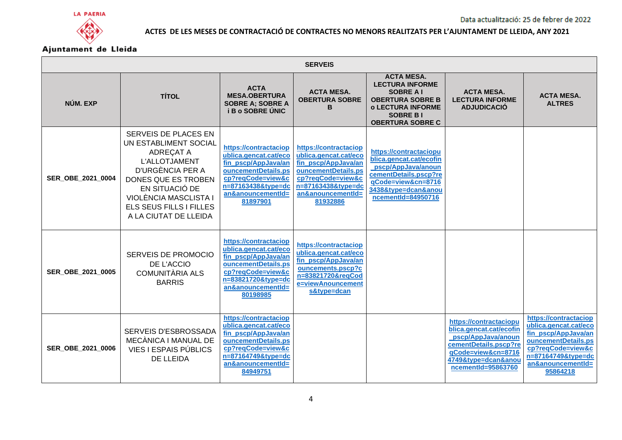



| <b>SERVEIS</b>           |                                                                                                                                                                                                                              |                                                                                                                                                                          |                                                                                                                                                                          |                                                                                                                                                                     |                                                                                                                                                                     |                                                                                                                                                                          |  |  |
|--------------------------|------------------------------------------------------------------------------------------------------------------------------------------------------------------------------------------------------------------------------|--------------------------------------------------------------------------------------------------------------------------------------------------------------------------|--------------------------------------------------------------------------------------------------------------------------------------------------------------------------|---------------------------------------------------------------------------------------------------------------------------------------------------------------------|---------------------------------------------------------------------------------------------------------------------------------------------------------------------|--------------------------------------------------------------------------------------------------------------------------------------------------------------------------|--|--|
| NÚM. EXP                 | <b>TÍTOL</b>                                                                                                                                                                                                                 | <b>ACTA</b><br><b>MESA.OBERTURA</b><br><b>SOBRE A; SOBRE A</b><br><b>i B o SOBRE UNIC</b>                                                                                | <b>ACTA MESA.</b><br><b>OBERTURA SOBRE</b><br>в                                                                                                                          | <b>ACTA MESA.</b><br><b>LECTURA INFORME</b><br><b>SOBRE AI</b><br><b>OBERTURA SOBRE B</b><br><b>o LECTURA INFORME</b><br><b>SOBRE BI</b><br><b>OBERTURA SOBRE C</b> | <b>ACTA MESA.</b><br><b>LECTURA INFORME</b><br><b>ADJUDICACIÓ</b>                                                                                                   | <b>ACTA MESA.</b><br><b>ALTRES</b>                                                                                                                                       |  |  |
| SER OBE 2021 0004        | SERVEIS DE PLACES EN<br>UN ESTABLIMENT SOCIAL<br>ADREÇAT A<br><b>L'ALLOTJAMENT</b><br>D'URGÈNCIA PER A<br>DONES QUE ES TROBEN<br>EN SITUACIÓ DE<br>VIOLÈNCIA MASCLISTA I<br>ELS SEUS FILLS I FILLES<br>A LA CIUTAT DE LLEIDA | https://contractaciop<br>ublica.gencat.cat/eco<br>fin_pscp/AppJava/an<br>ouncementDetails.ps<br>cp?reqCode=view&c<br>n=87163438&type=dc<br>an&anouncementId=<br>81897901 | https://contractaciop<br>ublica.gencat.cat/eco<br>fin_pscp/AppJava/an<br>ouncementDetails.ps<br>cp?reqCode=view&c<br>n=87163438&type=dc<br>an&anouncementId=<br>81932886 | https://contractaciopu<br>blica.gencat.cat/ecofin<br>pscp/AppJava/anoun<br>cementDetails.pscp?re<br>gCode=view&cn=8716<br>3438&type=dcan&anou<br>ncementId=84950716 |                                                                                                                                                                     |                                                                                                                                                                          |  |  |
| <b>SER OBE 2021 0005</b> | SERVEIS DE PROMOCIO<br>DE L'ACCIO<br><b>COMUNITÀRIA ALS</b><br><b>BARRIS</b>                                                                                                                                                 | https://contractaciop<br>ublica.gencat.cat/eco<br>fin pscp/AppJava/an<br>ouncementDetails.ps<br>cp?reqCode=view&c<br>n=83821720&type=dc<br>an&anouncementId=<br>80198985 | https://contractaciop<br>ublica.gencat.cat/eco<br>fin pscp/AppJava/an<br>ouncements.pscp?c<br>n=83821720&regCod<br>e=viewAnouncement<br>s&type=dcan                      |                                                                                                                                                                     |                                                                                                                                                                     |                                                                                                                                                                          |  |  |
| SER OBE 2021 0006        | SERVEIS D'ESBROSSADA<br>MECÀNICA I MANUAL DE<br>VIES I ESPAIS PÚBLICS<br>DE LLEIDA                                                                                                                                           | https://contractaciop<br>ublica.gencat.cat/eco<br>fin pscp/AppJava/an<br>ouncementDetails.ps<br>cp?reqCode=view&c<br>n=87164749&type=dc<br>an&anouncementId=<br>84949751 |                                                                                                                                                                          |                                                                                                                                                                     | https://contractaciopu<br>blica.gencat.cat/ecofin<br>pscp/AppJava/anoun<br>cementDetails.pscp?re<br>qCode=view&cn=8716<br>4749&type=dcan&anou<br>ncementId=95863760 | https://contractaciop<br>ublica.gencat.cat/eco<br>fin_pscp/AppJava/an<br>ouncementDetails.ps<br>cp?regCode=view&c<br>n=87164749&type=dc<br>an&anouncementId=<br>95864218 |  |  |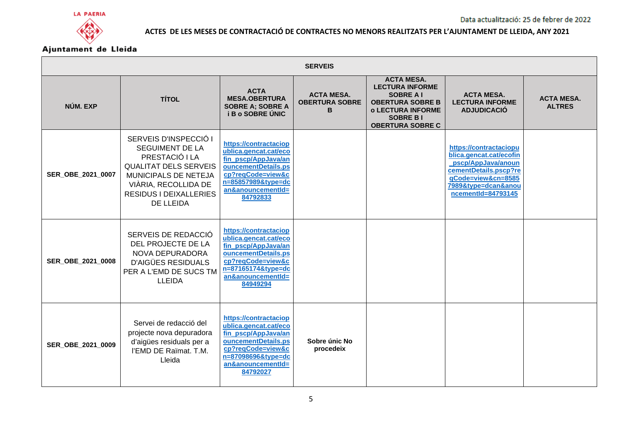



|                   | <b>SERVEIS</b>                                                                                                                                                                                  |                                                                                                                                                                          |                                                 |                                                                                                                                                                      |                                                                                                                                                                     |                                    |  |  |
|-------------------|-------------------------------------------------------------------------------------------------------------------------------------------------------------------------------------------------|--------------------------------------------------------------------------------------------------------------------------------------------------------------------------|-------------------------------------------------|----------------------------------------------------------------------------------------------------------------------------------------------------------------------|---------------------------------------------------------------------------------------------------------------------------------------------------------------------|------------------------------------|--|--|
| NÚM. EXP          | <b>TÍTOL</b>                                                                                                                                                                                    | <b>ACTA</b><br><b>MESA.OBERTURA</b><br><b>SOBRE A; SOBRE A</b><br><b>iBo SOBRE UNIC</b>                                                                                  | <b>ACTA MESA.</b><br><b>OBERTURA SOBRE</b><br>в | <b>ACTA MESA.</b><br><b>LECTURA INFORME</b><br><b>SOBRE A I</b><br><b>OBERTURA SOBRE B</b><br><b>o LECTURA INFORME</b><br><b>SOBRE BI</b><br><b>OBERTURA SOBRE C</b> | <b>ACTA MESA.</b><br><b>LECTURA INFORME</b><br><b>ADJUDICACIÓ</b>                                                                                                   | <b>ACTA MESA.</b><br><b>ALTRES</b> |  |  |
| SER OBE 2021 0007 | SERVEIS D'INSPECCIÓ I<br><b>SEGUIMENT DE LA</b><br>PRESTACIÓ I LA<br><b>QUALITAT DELS SERVEIS</b><br>MUNICIPALS DE NETEJA<br>VIÀRIA, RECOLLIDA DE<br><b>RESIDUS I DEIXALLERIES</b><br>DE LLEIDA | https://contractaciop<br>ublica.gencat.cat/eco<br>fin pscp/AppJava/an<br>ouncementDetails.ps<br>cp?reqCode=view&c<br>n=85857989&type=dc<br>an&anouncementId=<br>84792833 |                                                 |                                                                                                                                                                      | https://contractaciopu<br>blica.gencat.cat/ecofin<br>pscp/AppJava/anoun<br>cementDetails.pscp?re<br>qCode=view&cn=8585<br>7989&type=dcan&anou<br>ncementId=84793145 |                                    |  |  |
| SER OBE 2021 0008 | SERVEIS DE REDACCIÓ<br>DEL PROJECTE DE LA<br>NOVA DEPURADORA<br><b>D'AIGÜES RESIDUALS</b><br>PER A L'EMD DE SUCS TM<br><b>LLEIDA</b>                                                            | https://contractaciop<br>ublica.gencat.cat/eco<br>fin pscp/AppJava/an<br>ouncementDetails.ps<br>cp?reqCode=view&c<br>n=87165174&type=dc<br>an&anouncementId=<br>84949294 |                                                 |                                                                                                                                                                      |                                                                                                                                                                     |                                    |  |  |
| SER_OBE_2021_0009 | Servei de redacció del<br>projecte nova depuradora<br>d'aigües residuals per a<br>l'EMD DE Raïmat. T.M.<br>Lleida                                                                               | https://contractaciop<br>ublica.gencat.cat/eco<br>fin_pscp/AppJava/an<br>ouncementDetails.ps<br>cp?reqCode=view&c<br>n=87098696&type=dc<br>an&anouncementId=<br>84792027 | Sobre únic No<br>procedeix                      |                                                                                                                                                                      |                                                                                                                                                                     |                                    |  |  |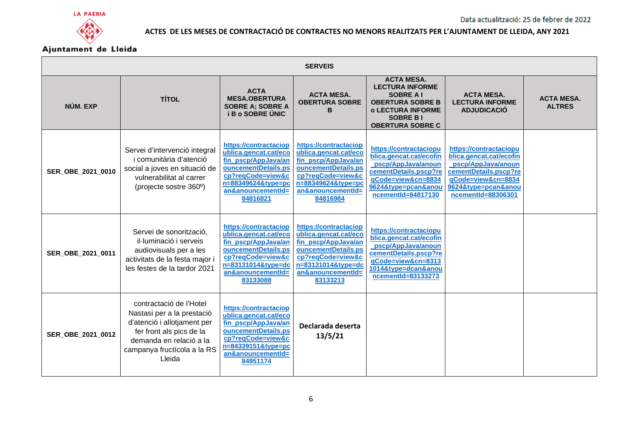



| <b>SERVEIS</b>    |                                                                                                                                                                                      |                                                                                                                                                                          |                                                                                                                                                                          |                                                                                                                                                                     |                                                                                                                                                                     |                                    |  |
|-------------------|--------------------------------------------------------------------------------------------------------------------------------------------------------------------------------------|--------------------------------------------------------------------------------------------------------------------------------------------------------------------------|--------------------------------------------------------------------------------------------------------------------------------------------------------------------------|---------------------------------------------------------------------------------------------------------------------------------------------------------------------|---------------------------------------------------------------------------------------------------------------------------------------------------------------------|------------------------------------|--|
| NÚM. EXP          | <b>TÍTOL</b>                                                                                                                                                                         | <b>ACTA</b><br><b>MESA.OBERTURA</b><br><b>SOBRE A: SOBRE A</b><br><b>i B o SOBRE UNIC</b>                                                                                | <b>ACTA MESA.</b><br><b>OBERTURA SOBRE</b><br>в                                                                                                                          | <b>ACTA MESA.</b><br><b>LECTURA INFORME</b><br><b>SOBRE AI</b><br><b>OBERTURA SOBRE B</b><br><b>o LECTURA INFORME</b><br><b>SOBRE BI</b><br><b>OBERTURA SOBRE C</b> | <b>ACTA MESA.</b><br><b>LECTURA INFORME</b><br><b>ADJUDICACIÓ</b>                                                                                                   | <b>ACTA MESA.</b><br><b>ALTRES</b> |  |
| SER_OBE_2021_0010 | Servei d'intervenció integral<br>i comunitària d'atenció<br>social a joves en situació de<br>vulnerabilitat al carrer<br>(projecte sostre 360°)                                      | https://contractaciop<br>ublica.gencat.cat/eco<br>fin_pscp/AppJava/an<br>ouncementDetails.ps<br>cp?reqCode=view&c<br>n=88349624&type=pc<br>an&anouncementId=<br>84816821 | https://contractaciop<br>ublica.gencat.cat/eco<br>fin_pscp/AppJava/an<br>ouncementDetails.ps<br>cp?reqCode=view&c<br>n=88349624&type=pc<br>an&anouncementId=<br>84816984 | https://contractaciopu<br>blica.gencat.cat/ecofin<br>pscp/AppJava/anoun<br>cementDetails.pscp?re<br>qCode=view&cn=8834<br>9624&type=pcan&anou<br>ncementId=84817130 | https://contractaciopu<br>blica.gencat.cat/ecofin<br>pscp/AppJava/anoun<br>cementDetails.pscp?re<br>qCode=view&cn=8834<br>9624&type=pcan&anou<br>ncementId=88306301 |                                    |  |
| SER OBE 2021 0011 | Servei de sonorització,<br>il·luminació i serveis<br>audiovisuals per a les<br>activitats de la festa major i<br>les festes de la tardor 2021                                        | https://contractaciop<br>ublica.gencat.cat/eco<br>fin_pscp/AppJava/an<br>ouncementDetails.ps<br>cp?reqCode=view&c<br>n=83131014&type=dc<br>an&anouncementId=<br>83133088 | https://contractaciop<br>ublica.gencat.cat/eco<br>fin_pscp/AppJava/an<br>ouncementDetails.ps<br>cp?reqCode=view&c<br>n=83131014&type=dc<br>an&anouncementId=<br>83133213 | https://contractaciopu<br>blica.gencat.cat/ecofin<br>pscp/AppJava/anoun<br>cementDetails.pscp?re<br>qCode=view&cn=8313<br>1014&type=dcan&anou<br>ncementId=83133273 |                                                                                                                                                                     |                                    |  |
| SER_OBE_2021_0012 | contractació de l'Hotel<br>Nastasi per a la prestació<br>d'atenció i allotjament per<br>fer front als pics de la<br>demanda en relació a la<br>campanya fructícola a la RS<br>Lleida | https://contractaciop<br>ublica.gencat.cat/eco<br>fin_pscp/AppJava/an<br>ouncementDetails.ps<br>cp?reqCode=view&c<br>n=84339151&type=pc<br>an&anouncementId=<br>84951174 | Declarada deserta<br>13/5/21                                                                                                                                             |                                                                                                                                                                     |                                                                                                                                                                     |                                    |  |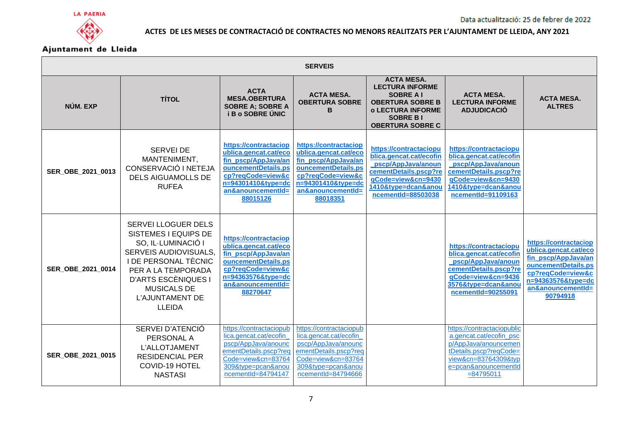



| <b>SERVEIS</b>    |                                                                                                                                                                                                                                  |                                                                                                                                                                          |                                                                                                                                                                          |                                                                                                                                                                     |                                                                                                                                                                         |                                                                                                                                                                          |  |  |
|-------------------|----------------------------------------------------------------------------------------------------------------------------------------------------------------------------------------------------------------------------------|--------------------------------------------------------------------------------------------------------------------------------------------------------------------------|--------------------------------------------------------------------------------------------------------------------------------------------------------------------------|---------------------------------------------------------------------------------------------------------------------------------------------------------------------|-------------------------------------------------------------------------------------------------------------------------------------------------------------------------|--------------------------------------------------------------------------------------------------------------------------------------------------------------------------|--|--|
| NÚM. EXP          | <b>TÍTOL</b>                                                                                                                                                                                                                     | <b>ACTA</b><br><b>MESA.OBERTURA</b><br><b>SOBRE A; SOBRE A</b><br><b>i B o SOBRE UNIC</b>                                                                                | <b>ACTA MESA.</b><br><b>OBERTURA SOBRE</b><br>в                                                                                                                          | <b>ACTA MESA.</b><br><b>LECTURA INFORME</b><br><b>SOBRE AI</b><br><b>OBERTURA SOBRE B</b><br><b>o LECTURA INFORME</b><br><b>SOBRE BI</b><br><b>OBERTURA SOBRE C</b> | <b>ACTA MESA.</b><br><b>LECTURA INFORME</b><br><b>ADJUDICACIÓ</b>                                                                                                       | <b>ACTA MESA.</b><br><b>ALTRES</b>                                                                                                                                       |  |  |
| SER OBE 2021 0013 | <b>SERVEI DE</b><br>MANTENIMENT,<br>CONSERVACIÓ I NETEJA<br><b>DELS AIGUAMOLLS DE</b><br><b>RUFEA</b>                                                                                                                            | https://contractaciop<br>ublica.gencat.cat/eco<br>fin pscp/AppJava/an<br>ouncementDetails.ps<br>cp?reqCode=view&c<br>n=94301410&tvpe=dc<br>an&anouncementId=<br>88015126 | https://contractaciop<br>ublica.gencat.cat/eco<br>fin_pscp/AppJava/an<br>ouncementDetails.ps<br>cp?reqCode=view&c<br>n=94301410&tvpe=dc<br>an&anouncementId=<br>88018351 | https://contractaciopu<br>blica.gencat.cat/ecofin<br>pscp/AppJava/anoun<br>cementDetails.pscp?re<br>gCode=view&cn=9430<br>1410&type=dcan&anou<br>ncementId=88503038 | https://contractaciopu<br>blica.gencat.cat/ecofin<br>pscp/AppJava/anoun<br>cementDetails.pscp?re<br>qCode=view&cn=9430<br>1410&type=dcan&anou<br>ncementId=91109163     |                                                                                                                                                                          |  |  |
| SER_OBE_2021_0014 | SERVEI LLOGUER DELS<br>SISTEMES I EQUIPS DE<br>SO, IL·LUMINACIÓ I<br>SERVEIS AUDIOVISUALS,<br><b>I DE PERSONAL TÈCNIC</b><br>PER A LA TEMPORADA<br>D'ARTS ESCÈNIQUES I<br><b>MUSICALS DE</b><br>L'AJUNTAMENT DE<br><b>LLEIDA</b> | https://contractaciop<br>ublica.gencat.cat/eco<br>fin_pscp/AppJava/an<br>ouncementDetails.ps<br>cp?reqCode=view&c<br>n=94363576&type=dc<br>an&anouncementId=<br>88270647 |                                                                                                                                                                          |                                                                                                                                                                     | https://contractaciopu<br>blica.gencat.cat/ecofin<br>pscp/AppJava/anoun<br>cementDetails.pscp?re<br>gCode=view&cn=9436<br>3576&tvpe=dcan&anou<br>ncementId=90255091     | https://contractaciop<br>ublica.gencat.cat/eco<br>fin pscp/AppJava/an<br>ouncementDetails.ps<br>cp?reqCode=view&c<br>n=94363576&tvpe=dc<br>an&anouncementId=<br>90794918 |  |  |
| SER_OBE_2021_0015 | SERVEI D'ATENCIÓ<br>PERSONAL A<br>L'ALLOTJAMENT<br><b>RESIDENCIAL PER</b><br>COVID-19 HOTEL<br><b>NASTASI</b>                                                                                                                    | https://contractaciopub<br>lica.gencat.cat/ecofin<br>pscp/AppJava/anounc<br>ementDetails.pscp?req<br>Code=view&cn=83764<br>309&type=pcan&anou<br>ncementId=84794147      | https://contractaciopub<br>lica.gencat.cat/ecofin_<br>pscp/AppJava/anounc<br>ementDetails.pscp?req<br>Code=view&cn=83764<br>309&type=pcan&anou<br>ncementId=84794666     |                                                                                                                                                                     | https://contractaciopublic<br>a.gencat.cat/ecofin_psc<br>p/AppJava/anouncemen<br>tDetails.pscp?reqCode=<br>view&cn=83764309&typ<br>e=pcan&anouncementId<br>$= 84795011$ |                                                                                                                                                                          |  |  |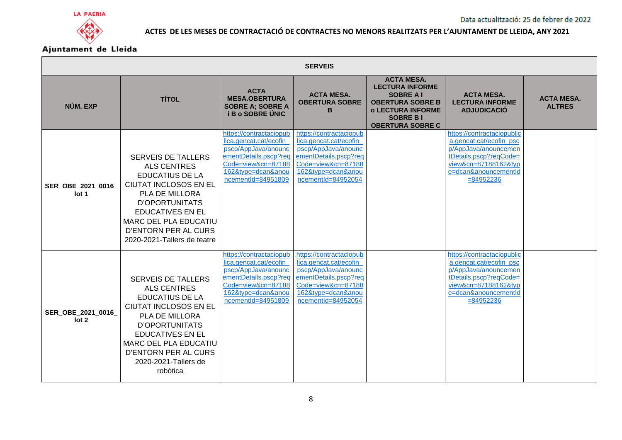



|                                       | <b>SERVEIS</b>                                                                                                                                                                                                                                                                     |                                                                                                                                                                     |                                                                                                                                                                     |                                                                                                                                                                      |                                                                                                                                                                         |                                    |  |  |
|---------------------------------------|------------------------------------------------------------------------------------------------------------------------------------------------------------------------------------------------------------------------------------------------------------------------------------|---------------------------------------------------------------------------------------------------------------------------------------------------------------------|---------------------------------------------------------------------------------------------------------------------------------------------------------------------|----------------------------------------------------------------------------------------------------------------------------------------------------------------------|-------------------------------------------------------------------------------------------------------------------------------------------------------------------------|------------------------------------|--|--|
| NÚM. EXP                              | <b>TÍTOL</b>                                                                                                                                                                                                                                                                       | <b>ACTA</b><br><b>MESA.OBERTURA</b><br><b>SOBRE A: SOBRE A</b><br><b>i B o SOBRE UNIC</b>                                                                           | <b>ACTA MESA.</b><br><b>OBERTURA SOBRE</b><br>в                                                                                                                     | <b>ACTA MESA.</b><br><b>LECTURA INFORME</b><br><b>SOBRE A I</b><br><b>OBERTURA SOBRE B</b><br><b>o LECTURA INFORME</b><br><b>SOBRE BI</b><br><b>OBERTURA SOBRE C</b> | <b>ACTA MESA.</b><br><b>LECTURA INFORME</b><br><b>ADJUDICACIÓ</b>                                                                                                       | <b>ACTA MESA.</b><br><b>ALTRES</b> |  |  |
| SER_OBE_2021_0016<br>lot 1            | <b>SERVEIS DE TALLERS</b><br><b>ALS CENTRES</b><br><b>EDUCATIUS DE LA</b><br><b>CIUTAT INCLOSOS EN EL</b><br><b>PLA DE MILLORA</b><br><b>D'OPORTUNITATS</b><br><b>EDUCATIVES EN EL</b><br><b>MARC DEL PLA EDUCATIU</b><br>D'ENTORN PER AL CURS<br>2020-2021-Tallers de teatre      | https://contractaciopub<br>lica.gencat.cat/ecofin<br>pscp/AppJava/anounc<br>ementDetails.pscp?req<br>Code=view&cn=87188<br>162&type=dcan&anou<br>ncementId=84951809 | https://contractaciopub<br>lica.gencat.cat/ecofin<br>pscp/AppJava/anounc<br>ementDetails.pscp?req<br>Code=view&cn=87188<br>162&type=dcan&anou<br>ncementId=84952054 |                                                                                                                                                                      | https://contractaciopublic<br>a.gencat.cat/ecofin_psc<br>p/AppJava/anouncemen<br>tDetails.pscp?reqCode=<br>view&cn=87188162&typ<br>e=dcan&anouncementId<br>$= 84952236$ |                                    |  |  |
| SER OBE 2021 0016<br>lot <sub>2</sub> | <b>SERVEIS DE TALLERS</b><br><b>ALS CENTRES</b><br><b>EDUCATIUS DE LA</b><br><b>CIUTAT INCLOSOS EN EL</b><br>PLA DE MILLORA<br><b>D'OPORTUNITATS</b><br><b>EDUCATIVES EN EL</b><br><b>MARC DEL PLA EDUCATIU</b><br><b>D'ENTORN PER AL CURS</b><br>2020-2021-Tallers de<br>robòtica | https://contractaciopub<br>lica.gencat.cat/ecofin<br>pscp/AppJava/anounc<br>ementDetails.pscp?req<br>Code=view&cn=87188<br>162&type=dcan&anou<br>ncementId=84951809 | https://contractaciopub<br>lica.gencat.cat/ecofin<br>pscp/AppJava/anounc<br>ementDetails.pscp?req<br>Code=view&cn=87188<br>162&type=dcan&anou<br>ncementId=84952054 |                                                                                                                                                                      | https://contractaciopublic<br>a.gencat.cat/ecofin_psc<br>p/AppJava/anouncemen<br>tDetails.pscp?reqCode=<br>view&cn=87188162&typ<br>e=dcan&anouncementId<br>$= 84952236$ |                                    |  |  |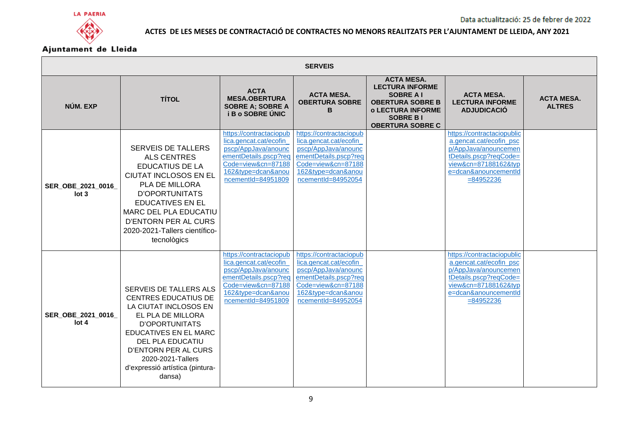





| <b>SERVEIS</b>                         |                                                                                                                                                                                                                                                                                         |                                                                                                                                                                     |                                                                                                                                                                     |                                                                                                                                                                      |                                                                                                                                                                         |                                    |  |
|----------------------------------------|-----------------------------------------------------------------------------------------------------------------------------------------------------------------------------------------------------------------------------------------------------------------------------------------|---------------------------------------------------------------------------------------------------------------------------------------------------------------------|---------------------------------------------------------------------------------------------------------------------------------------------------------------------|----------------------------------------------------------------------------------------------------------------------------------------------------------------------|-------------------------------------------------------------------------------------------------------------------------------------------------------------------------|------------------------------------|--|
| NÚM. EXP                               | <b>TÍTOL</b>                                                                                                                                                                                                                                                                            | <b>ACTA</b><br><b>MESA.OBERTURA</b><br><b>SOBRE A; SOBRE A</b><br><b>iBo SOBRE UNIC</b>                                                                             | <b>ACTA MESA.</b><br><b>OBERTURA SOBRE</b><br>в                                                                                                                     | <b>ACTA MESA.</b><br><b>LECTURA INFORME</b><br><b>SOBRE A I</b><br><b>OBERTURA SOBRE B</b><br><b>o LECTURA INFORME</b><br><b>SOBRE BI</b><br><b>OBERTURA SOBRE C</b> | <b>ACTA MESA.</b><br><b>LECTURA INFORME</b><br><b>ADJUDICACIÓ</b>                                                                                                       | <b>ACTA MESA.</b><br><b>ALTRES</b> |  |
| SER OBE 2021 0016<br>lot <sub>3</sub>  | <b>SERVEIS DE TALLERS</b><br><b>ALS CENTRES</b><br><b>EDUCATIUS DE LA</b><br><b>CIUTAT INCLOSOS EN EL</b><br>PLA DE MILLORA<br><b>D'OPORTUNITATS</b><br><b>EDUCATIVES EN EL</b><br><b>MARC DEL PLA EDUCATIU</b><br>D'ENTORN PER AL CURS<br>2020-2021-Tallers científico-<br>tecnològics | https://contractaciopub<br>lica.gencat.cat/ecofin<br>pscp/AppJava/anounc<br>ementDetails.pscp?req<br>Code=view&cn=87188<br>162&type=dcan&anou<br>ncementId=84951809 | https://contractaciopub<br>lica.gencat.cat/ecofin<br>pscp/AppJava/anounc<br>ementDetails.pscp?req<br>Code=view&cn=87188<br>162&type=dcan&anou<br>ncementId=84952054 |                                                                                                                                                                      | https://contractaciopublic<br>a.gencat.cat/ecofin_psc<br>p/AppJava/anouncemen<br>tDetails.pscp?reqCode=<br>view&cn=87188162&typ<br>e=dcan&anouncementId<br>$= 84952236$ |                                    |  |
| SER_OBE_2021_0016_<br>lot <sub>4</sub> | SERVEIS DE TALLERS ALS<br><b>CENTRES EDUCATIUS DE</b><br>LA CIUTAT INCLOSOS EN<br>EL PLA DE MILLORA<br>D'OPORTUNITATS<br>EDUCATIVES EN EL MARC<br><b>DEL PLA EDUCATIU</b><br><b>D'ENTORN PER AL CURS</b><br>2020-2021-Tallers<br>d'expressió artística (pintura-<br>dansa)              | https://contractaciopub<br>lica.gencat.cat/ecofin<br>pscp/AppJava/anounc<br>ementDetails.pscp?req<br>Code=view&cn=87188<br>162&type=dcan&anou<br>ncementId=84951809 | https://contractaciopub<br>lica.gencat.cat/ecofin<br>pscp/AppJava/anounc<br>ementDetails.pscp?req<br>Code=view&cn=87188<br>162&type=dcan&anou<br>ncementId=84952054 |                                                                                                                                                                      | https://contractaciopublic<br>a.gencat.cat/ecofin_psc<br>p/AppJava/anouncemen<br>tDetails.pscp?reqCode=<br>view&cn=87188162&typ<br>e=dcan&anouncementId<br>$= 84952236$ |                                    |  |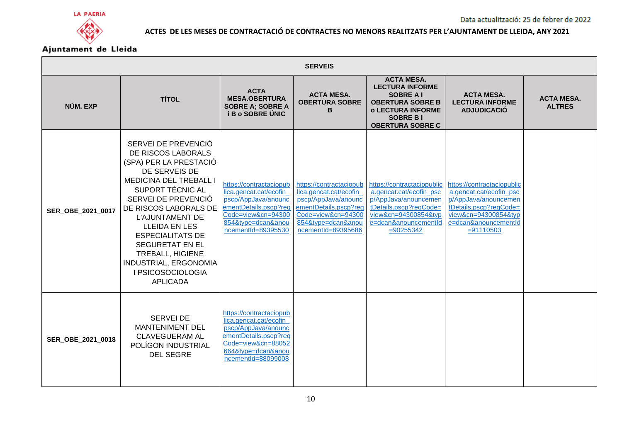



|                   | <b>SERVEIS</b>                                                                                                                                                                                                                                                                                                                                                                        |                                                                                                                                                                     |                                                                                                                                                                     |                                                                                                                                                                         |                                                                                                                                                                         |                                    |  |  |
|-------------------|---------------------------------------------------------------------------------------------------------------------------------------------------------------------------------------------------------------------------------------------------------------------------------------------------------------------------------------------------------------------------------------|---------------------------------------------------------------------------------------------------------------------------------------------------------------------|---------------------------------------------------------------------------------------------------------------------------------------------------------------------|-------------------------------------------------------------------------------------------------------------------------------------------------------------------------|-------------------------------------------------------------------------------------------------------------------------------------------------------------------------|------------------------------------|--|--|
| NÚM. EXP          | <b>TÍTOL</b>                                                                                                                                                                                                                                                                                                                                                                          | <b>ACTA</b><br><b>MESA.OBERTURA</b><br><b>SOBRE A: SOBRE A</b><br><b>i B o SOBRE UNIC</b>                                                                           | <b>ACTA MESA.</b><br><b>OBERTURA SOBRE</b><br>в                                                                                                                     | <b>ACTA MESA.</b><br><b>LECTURA INFORME</b><br><b>SOBRE A I</b><br><b>OBERTURA SOBRE B</b><br><b>o LECTURA INFORME</b><br><b>SOBRE BI</b><br><b>OBERTURA SOBRE C</b>    | <b>ACTA MESA.</b><br><b>LECTURA INFORME</b><br><b>ADJUDICACIÓ</b>                                                                                                       | <b>ACTA MESA.</b><br><b>ALTRES</b> |  |  |
| SER_OBE_2021_0017 | SERVEI DE PREVENCIÓ<br>DE RISCOS LABORALS<br>(SPA) PER LA PRESTACIÓ<br>DE SERVEIS DE<br><b>MEDICINA DEL TREBALL I</b><br>SUPORT TÈCNIC AL<br>SERVEI DE PREVENCIÓ<br>DE RISCOS LABORALS DE<br>L'AJUNTAMENT DE<br><b>LLEIDA EN LES</b><br><b>ESPECIALITATS DE</b><br><b>SEGURETAT EN EL</b><br><b>TREBALL, HIGIENE</b><br>INDUSTRIAL, ERGONOMIA<br>I PSICOSOCIOLOGIA<br><b>APLICADA</b> | https://contractaciopub<br>lica.gencat.cat/ecofin<br>pscp/AppJava/anounc<br>ementDetails.pscp?req<br>Code=view&cn=94300<br>854&type=dcan&anou<br>ncementId=89395530 | https://contractaciopub<br>lica.gencat.cat/ecofin<br>pscp/AppJava/anounc<br>ementDetails.pscp?req<br>Code=view&cn=94300<br>854&type=dcan&anou<br>ncementId=89395686 | https://contractaciopublic<br>a.gencat.cat/ecofin_psc<br>p/AppJava/anouncemen<br>tDetails.pscp?reqCode=<br>view&cn=94300854&typ<br>e=dcan&anouncementId<br>$= 90255342$ | https://contractaciopublic<br>a.gencat.cat/ecofin_psc<br>p/AppJava/anouncemen<br>tDetails.pscp?reqCode=<br>view&cn=94300854&typ<br>e=dcan&anouncementId<br>$= 91110503$ |                                    |  |  |
| SER OBE 2021 0018 | <b>SERVEI DE</b><br><b>MANTENIMENT DEL</b><br><b>CLAVEGUERAM AL</b><br>POLÍGON INDUSTRIAL<br><b>DEL SEGRE</b>                                                                                                                                                                                                                                                                         | https://contractaciopub<br>lica.gencat.cat/ecofin<br>pscp/AppJava/anounc<br>ementDetails.pscp?req<br>Code=view&cn=88052<br>664&type=dcan&anou<br>ncementId=88099008 |                                                                                                                                                                     |                                                                                                                                                                         |                                                                                                                                                                         |                                    |  |  |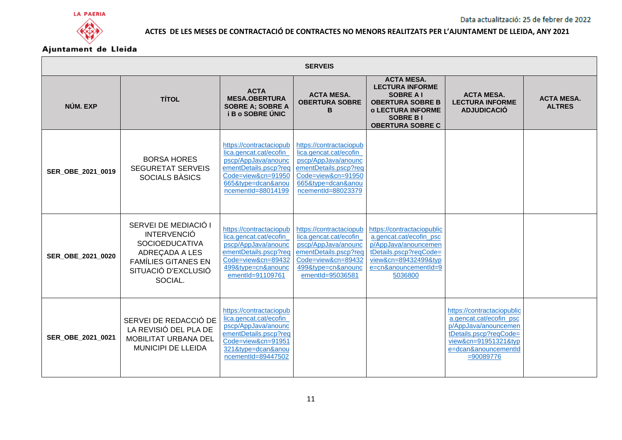



| <b>SERVEIS</b>    |                                                                                                                                                       |                                                                                                                                                                     |                                                                                                                                                                     |                                                                                                                                                                     |                                                                                                                                                                         |                                    |  |  |
|-------------------|-------------------------------------------------------------------------------------------------------------------------------------------------------|---------------------------------------------------------------------------------------------------------------------------------------------------------------------|---------------------------------------------------------------------------------------------------------------------------------------------------------------------|---------------------------------------------------------------------------------------------------------------------------------------------------------------------|-------------------------------------------------------------------------------------------------------------------------------------------------------------------------|------------------------------------|--|--|
| NÚM. EXP          | <b>TÍTOL</b>                                                                                                                                          | <b>ACTA</b><br><b>MESA.OBERTURA</b><br><b>SOBRE A: SOBRE A</b><br><b>i B o SOBRE UNIC</b>                                                                           | <b>ACTA MESA.</b><br><b>OBERTURA SOBRE</b><br>B                                                                                                                     | <b>ACTA MESA.</b><br><b>LECTURA INFORME</b><br><b>SOBRE AI</b><br><b>OBERTURA SOBRE B</b><br><b>o LECTURA INFORME</b><br><b>SOBRE BI</b><br><b>OBERTURA SOBRE C</b> | <b>ACTA MESA.</b><br><b>LECTURA INFORME</b><br><b>ADJUDICACIO</b>                                                                                                       | <b>ACTA MESA.</b><br><b>ALTRES</b> |  |  |
| SER OBE 2021 0019 | <b>BORSA HORES</b><br><b>SEGURETAT SERVEIS</b><br><b>SOCIALS BÀSICS</b>                                                                               | https://contractaciopub<br>lica.gencat.cat/ecofin<br>pscp/AppJava/anounc<br>ementDetails.pscp?req<br>Code=view&cn=91950<br>665&type=dcan&anou<br>ncementId=88014199 | https://contractaciopub<br>lica.gencat.cat/ecofin<br>pscp/AppJava/anounc<br>ementDetails.pscp?req<br>Code=view&cn=91950<br>665&type=dcan&anou<br>ncementId=88023379 |                                                                                                                                                                     |                                                                                                                                                                         |                                    |  |  |
| SER_OBE_2021_0020 | SERVEI DE MEDIACIÓ I<br><b>INTERVENCIO</b><br><b>SOCIOEDUCATIVA</b><br>ADREÇADA A LES<br><b>FAMÍLIES GITANES EN</b><br>SITUACIÓ D'EXCLUSIÓ<br>SOCIAL. | https://contractaciopub<br>lica.gencat.cat/ecofin<br>pscp/AppJava/anounc<br>ementDetails.pscp?req<br>Code=view&cn=89432<br>499&type=cn&anounc<br>ementId=91109761   | https://contractaciopub<br>lica.gencat.cat/ecofin<br>pscp/AppJava/anounc<br>ementDetails.pscp?req<br>Code=view&cn=89432<br>499&type=cn&anounc<br>ementId=95036581   | https://contractaciopublic<br>a.gencat.cat/ecofin_psc<br>p/AppJava/anouncemen<br>tDetails.pscp?reqCode=<br>view&cn=89432499&typ<br>e=cn&anouncementId=9<br>5036800  |                                                                                                                                                                         |                                    |  |  |
| SER OBE 2021 0021 | SERVEI DE REDACCIÓ DE<br>LA REVISIÓ DEL PLA DE<br><b>MOBILITAT URBANA DEL</b><br><b>MUNICIPI DE LLEIDA</b>                                            | https://contractaciopub<br>lica.gencat.cat/ecofin<br>pscp/AppJava/anounc<br>ementDetails.pscp?req<br>Code=view&cn=91951<br>321&type=dcan&anou<br>ncementId=89447502 |                                                                                                                                                                     |                                                                                                                                                                     | https://contractaciopublic<br>a.gencat.cat/ecofin_psc<br>p/AppJava/anouncemen<br>tDetails.pscp?reqCode=<br>view&cn=91951321&typ<br>e=dcan&anouncementId<br>$= 90089776$ |                                    |  |  |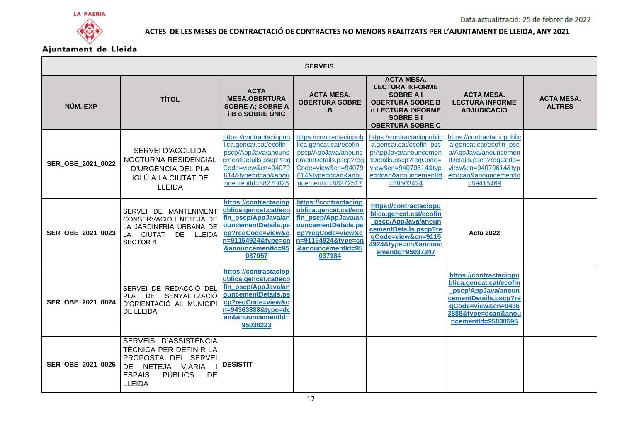



| <b>SERVEIS</b>    |                                                                                                                                                             |                                                                                                                                                                          |                                                                                                                                                                        |                                                                                                                                                                         |                                                                                                                                                                         |                                    |  |  |
|-------------------|-------------------------------------------------------------------------------------------------------------------------------------------------------------|--------------------------------------------------------------------------------------------------------------------------------------------------------------------------|------------------------------------------------------------------------------------------------------------------------------------------------------------------------|-------------------------------------------------------------------------------------------------------------------------------------------------------------------------|-------------------------------------------------------------------------------------------------------------------------------------------------------------------------|------------------------------------|--|--|
| NÚM. EXP          | <b>TÍTOL</b>                                                                                                                                                | <b>ACTA</b><br><b>MESA.OBERTURA</b><br><b>SOBRE A: SOBRE A</b><br><b>i B o SOBRE UNIC</b>                                                                                | <b>ACTA MESA.</b><br><b>OBERTURA SOBRE</b><br>в                                                                                                                        | <b>ACTA MESA.</b><br><b>LECTURA INFORME</b><br><b>SOBRE A I</b><br><b>OBERTURA SOBRE B</b><br><b>o LECTURA INFORME</b><br><b>SOBRE BI</b><br><b>OBERTURA SOBRE C</b>    | <b>ACTA MESA.</b><br><b>LECTURA INFORME</b><br><b>ADJUDICACIÓ</b>                                                                                                       | <b>ACTA MESA.</b><br><b>ALTRES</b> |  |  |
| SER_OBE_2021_0022 | <b>SERVEI D'ACOLLIDA</b><br>NOCTURNA RESIDENCIAL<br>D'URGÈNCIA DEL PLA<br>IGLÚ A LA CIUTAT DE<br><b>LLEIDA</b>                                              | https://contractaciopub<br>lica.gencat.cat/ecofin<br>pscp/AppJava/anounc<br>ementDetails.pscp?req<br>Code=view&cn=94079<br>614&type=dcan&anou<br>ncementId=88270825      | https://contractaciopub<br>lica.gencat.cat/ecofin<br>pscp/AppJava/anounc<br>ementDetails.pscp?req<br>Code=view&cn=94079<br>614&type=dcan&anou<br>ncementId=88272517    | https://contractaciopublic<br>a.gencat.cat/ecofin_psc<br>p/AppJava/anouncemen<br>tDetails.pscp?reqCode=<br>view&cn=94079614&typ<br>e=dcan&anouncementId<br>$= 88503424$ | https://contractaciopublic<br>a.gencat.cat/ecofin_psc<br>p/AppJava/anouncemen<br>tDetails.pscp?reqCode=<br>view&cn=94079614&typ<br>e=dcan&anouncementId<br>$= 89415469$ |                                    |  |  |
| SER OBE 2021 0023 | SERVEI DE MANTENIMENT<br>CONSERVACIÓ I NETEJA DE<br>LA JARDINERIA URBANA DE<br>LA CIUTAT DE LLEIDA<br><b>SECTOR 4</b>                                       | https://contractaciop<br>ublica.gencat.cat/eco<br>fin_pscp/AppJava/an<br>ouncementDetails.ps<br>cp?reqCode=view&c<br>n=91154924&type=cn<br>&anouncementId=95<br>037057   | https://contractaciop<br>ublica.gencat.cat/eco<br>fin_pscp/AppJava/an<br>ouncementDetails.ps<br>cp?reqCode=view&c<br>n=91154924&type=cn<br>&anouncementId=95<br>037184 | https://contractaciopu<br>blica.gencat.cat/ecofin<br>pscp/AppJava/anoun<br>cementDetails.pscp?re<br>qCode=view&cn=9115<br>4924&type=cn&anounc<br>ementId=95037247       | Acta 2022                                                                                                                                                               |                                    |  |  |
| SER OBE 2021 0024 | SERVEI DE REDACCIÓ DEL<br>PLA DE<br>SENYALITZACIÓ<br>D'ORIENTACIÓ AL MUNICIPI<br>DE LLEIDA                                                                  | https://contractaciop<br>ublica.gencat.cat/eco<br>fin pscp/AppJava/an<br>ouncementDetails.ps<br>cp?reqCode=view&c<br>n=94363888&type=dc<br>an&anouncementId=<br>95038223 |                                                                                                                                                                        |                                                                                                                                                                         | https://contractaciopu<br>blica.gencat.cat/ecofin<br>pscp/AppJava/anoun<br>cementDetails.pscp?re<br>aCode=view&cn=9436<br>3888&type=dcan&anou<br>ncementId=95038595     |                                    |  |  |
| SER OBE 2021 0025 | SERVEIS D'ASSISTÈNCIA<br>TÈCNICA PER DEFINIR LA<br>PROPOSTA DEL SERVEI<br>DE NETEJA VIÀRIA<br><b>PÚBLICS</b><br><b>DE</b><br><b>ESPAIS</b><br><b>LLEIDA</b> | <b>DESISTIT</b>                                                                                                                                                          |                                                                                                                                                                        |                                                                                                                                                                         |                                                                                                                                                                         |                                    |  |  |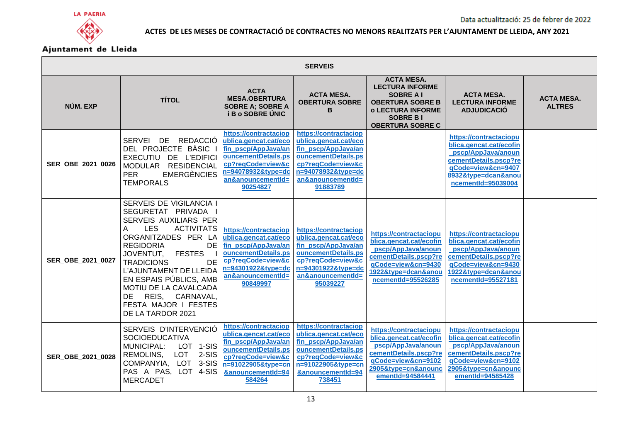



| <b>SERVEIS</b>    |                                                                                                                                                                                                                                                                                                                                                                                       |                                                                                                                                                                          |                                                                                                                                                                          |                                                                                                                                                                      |                                                                                                                                                                     |                                    |  |  |
|-------------------|---------------------------------------------------------------------------------------------------------------------------------------------------------------------------------------------------------------------------------------------------------------------------------------------------------------------------------------------------------------------------------------|--------------------------------------------------------------------------------------------------------------------------------------------------------------------------|--------------------------------------------------------------------------------------------------------------------------------------------------------------------------|----------------------------------------------------------------------------------------------------------------------------------------------------------------------|---------------------------------------------------------------------------------------------------------------------------------------------------------------------|------------------------------------|--|--|
| NÚM. EXP          | <b>TÍTOL</b>                                                                                                                                                                                                                                                                                                                                                                          | <b>ACTA</b><br><b>MESA.OBERTURA</b><br><b>SOBRE A; SOBRE A</b><br><b>i B o SOBRE ÚNIC</b>                                                                                | <b>ACTA MESA.</b><br><b>OBERTURA SOBRE</b><br>в                                                                                                                          | <b>ACTA MESA.</b><br><b>LECTURA INFORME</b><br><b>SOBRE A I</b><br><b>OBERTURA SOBRE B</b><br><b>o LECTURA INFORME</b><br><b>SOBRE BI</b><br><b>OBERTURA SOBRE C</b> | <b>ACTA MESA.</b><br><b>LECTURA INFORME</b><br><b>ADJUDICACIÓ</b>                                                                                                   | <b>ACTA MESA.</b><br><b>ALTRES</b> |  |  |
| SER OBE 2021 0026 | SERVEI DE<br>REDACCIÓ<br>DEL PROJECTE BÀSIC I<br>EXECUTIU DE L'EDIFICI<br>MODULAR RESIDENCIAL<br><b>PER</b><br><b>EMERGÈNCIES</b><br><b>TEMPORALS</b>                                                                                                                                                                                                                                 | https://contractaciop<br>ublica.gencat.cat/eco<br>fin_pscp/AppJava/an<br>ouncementDetails.ps<br>cp?reqCode=view&c<br>n=94078932&type=dc<br>an&anouncementId=<br>90254827 | https://contractaciop<br>ublica.gencat.cat/eco<br>fin_pscp/AppJava/an<br>ouncementDetails.ps<br>cp?reqCode=view&c<br>n=94078932&type=dc<br>an&anouncementId=<br>91883789 |                                                                                                                                                                      | https://contractaciopu<br>blica.gencat.cat/ecofin<br>pscp/AppJava/anoun<br>cementDetails.pscp?re<br>qCode=view&cn=9407<br>8932&type=dcan&anou<br>ncementId=95039004 |                                    |  |  |
| SER OBE 2021 0027 | SERVEIS DE VIGILANCIA I<br>SEGURETAT PRIVADA<br><b>SERVEIS AUXILIARS PER</b><br>A<br><b>ACTIVITATS</b><br><b>LES</b><br>ORGANITZADES PER LA<br><b>REGIDORIA</b><br>DE<br><b>FESTES</b><br>JOVENTUT,<br><b>DE</b><br><b>TRADICIONS</b><br>L'AJUNTAMENT DE LLEIDA<br>EN ESPAIS PÚBLICS, AMB<br>MOTIU DE LA CAVALCADA<br>DE REIS, CARNAVAL,<br>FESTA MAJOR I FESTES<br>DE LA TARDOR 2021 | https://contractaciop<br>ublica.gencat.cat/eco<br>fin pscp/AppJava/an<br>ouncementDetails.ps<br>cp?reqCode=view&c<br>n=94301922&type=dc<br>an&anouncementId=<br>90849997 | https://contractaciop<br>ublica.gencat.cat/eco<br>fin_pscp/AppJava/an<br>ouncementDetails.ps<br>cp?reqCode=view&c<br>n=94301922&type=dc<br>an&anouncementId=<br>95039227 | https://contractaciopu<br>blica.gencat.cat/ecofin<br>pscp/AppJava/anoun<br>cementDetails.pscp?re<br>gCode=view&cn=9430<br>1922&type=dcan&anou<br>ncementId=95526285  | https://contractaciopu<br>blica.gencat.cat/ecofin<br>pscp/AppJava/anoun<br>cementDetails.pscp?re<br>qCode=view&cn=9430<br>1922&type=dcan&anou<br>ncementId=95527181 |                                    |  |  |
| SER OBE 2021 0028 | SERVEIS D'INTERVENCIÓ<br><b>SOCIOEDUCATIVA</b><br>LOT 1-SIS<br><b>MUNICIPAL:</b><br>REMOLINS,<br>LOT<br>2-SIS<br>COMPANYIA, LOT 3-SIS<br>PAS A PAS, LOT 4-SIS<br><b>MERCADET</b>                                                                                                                                                                                                      | https://contractaciop<br>ublica.gencat.cat/eco<br>fin_pscp/AppJava/an<br>ouncementDetails.ps<br>cp?reqCode=view&c<br>n=91022905&type=cn<br>&anouncementId=94<br>584264   | https://contractaciop<br>ublica.gencat.cat/eco<br>fin_pscp/AppJava/an<br>ouncementDetails.ps<br>cp?reqCode=view&c<br>n=91022905&type=cn<br>&anouncementId=94<br>738451   | https://contractaciopu<br>blica.gencat.cat/ecofin<br>pscp/AppJava/anoun<br>cementDetails.pscp?re<br>qCode=view&cn=9102<br>2905&type=cn&anounc<br>ementId=94584441    | https://contractaciopu<br>blica.gencat.cat/ecofin<br>pscp/AppJava/anoun<br>cementDetails.pscp?re<br>qCode=view&cn=9102<br>2905&type=cn&anounc<br>ementId=94585428   |                                    |  |  |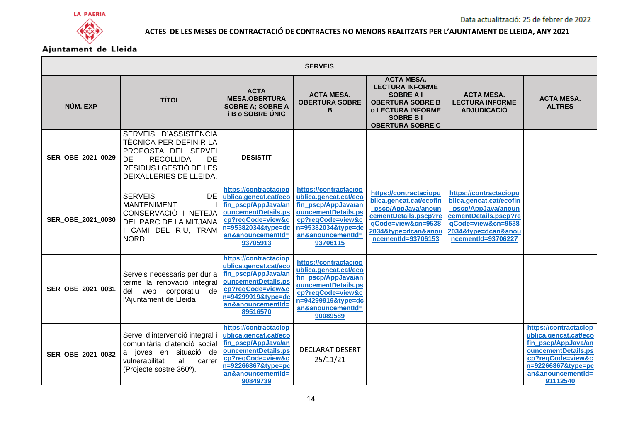

| <b>SERVEIS</b>    |                                                                                                                                                              |                                                                                                                                                                          |                                                                                                                                                                          |                                                                                                                                                                      |                                                                                                                                                                     |                                                                                                                                                                          |  |  |
|-------------------|--------------------------------------------------------------------------------------------------------------------------------------------------------------|--------------------------------------------------------------------------------------------------------------------------------------------------------------------------|--------------------------------------------------------------------------------------------------------------------------------------------------------------------------|----------------------------------------------------------------------------------------------------------------------------------------------------------------------|---------------------------------------------------------------------------------------------------------------------------------------------------------------------|--------------------------------------------------------------------------------------------------------------------------------------------------------------------------|--|--|
| NÚM. EXP          | <b>TÍTOL</b>                                                                                                                                                 | <b>ACTA</b><br><b>MESA.OBERTURA</b><br><b>SOBRE A; SOBRE A</b><br><b>i B o SOBRE ÚNIC</b>                                                                                | <b>ACTA MESA.</b><br><b>OBERTURA SOBRE</b><br>В                                                                                                                          | <b>ACTA MESA.</b><br><b>LECTURA INFORME</b><br><b>SOBRE A I</b><br><b>OBERTURA SOBRE B</b><br><b>o LECTURA INFORME</b><br><b>SOBRE BI</b><br><b>OBERTURA SOBRE C</b> | <b>ACTA MESA.</b><br><b>LECTURA INFORME</b><br><b>ADJUDICACIO</b>                                                                                                   | <b>ACTA MESA.</b><br><b>ALTRES</b>                                                                                                                                       |  |  |
| SER_OBE_2021_0029 | SERVEIS D'ASSISTÈNCIA<br>TÈCNICA PER DEFINIR LA<br>PROPOSTA DEL SERVEI<br><b>RECOLLIDA</b><br>DE<br>DE<br>RESIDUS I GESTIÓ DE LES<br>DEIXALLERIES DE LLEIDA. | <b>DESISTIT</b>                                                                                                                                                          |                                                                                                                                                                          |                                                                                                                                                                      |                                                                                                                                                                     |                                                                                                                                                                          |  |  |
| SER_OBE_2021_0030 | <b>SERVEIS</b><br>DE<br><b>MANTENIMENT</b><br>CONSERVACIÓ I NETEJA<br>DEL PARC DE LA MITJANA<br>I CAMI DEL RIU, TRAM<br><b>NORD</b>                          | https://contractaciop<br>ublica.gencat.cat/eco<br>fin_pscp/AppJava/an<br>ouncementDetails.ps<br>cp?reqCode=view&c<br>n=95382034&type=dc<br>an&anouncementId=<br>93705913 | https://contractaciop<br>ublica.gencat.cat/eco<br>fin_pscp/AppJava/an<br>ouncementDetails.ps<br>cp?reqCode=view&c<br>n=95382034&type=dc<br>an&anouncementId=<br>93706115 | https://contractaciopu<br>blica.gencat.cat/ecofin<br>pscp/AppJava/anoun<br>cementDetails.pscp?re<br>qCode=view&cn=9538<br>2034&type=dcan&anou<br>ncementId=93706153  | https://contractaciopu<br>blica.gencat.cat/ecofin<br>pscp/AppJava/anoun<br>cementDetails.pscp?re<br>qCode=view&cn=9538<br>2034&type=dcan&anou<br>ncementId=93706227 |                                                                                                                                                                          |  |  |
| SER_OBE_2021_0031 | Serveis necessaris per dur a<br>terme la renovació integral<br>web corporatiu de<br>del<br>l'Ajuntament de Lleida                                            | https://contractaciop<br>ublica.gencat.cat/eco<br>fin pscp/AppJava/an<br>ouncementDetails.ps<br>cp?reqCode=view&c<br>n=94299919&type=dc<br>an&anouncementId=<br>89516570 | https://contractaciop<br>ublica.gencat.cat/eco<br>fin pscp/AppJava/an<br>ouncementDetails.ps<br>cp?reqCode=view&c<br>n=94299919&type=dc<br>an&anouncementId=<br>90089589 |                                                                                                                                                                      |                                                                                                                                                                     |                                                                                                                                                                          |  |  |
| SER OBE 2021 0032 | Servei d'intervenció integral i<br>comunitària d'atenció social<br>a joves en situació de<br>vulnerabilitat<br>al<br>carrer<br>(Projecte sostre 360°),       | https://contractaciop<br>ublica.gencat.cat/eco<br>fin_pscp/AppJava/an<br>ouncementDetails.ps<br>cp?reqCode=view&c<br>n=92266867&type=pc<br>an&anouncementId=<br>90849739 | <b>DECLARAT DESERT</b><br>25/11/21                                                                                                                                       |                                                                                                                                                                      |                                                                                                                                                                     | https://contractaciop<br>ublica.gencat.cat/eco<br>fin_pscp/AppJava/an<br>ouncementDetails.ps<br>cp?reqCode=view&c<br>n=92266867&type=pc<br>an&anouncementId=<br>91112540 |  |  |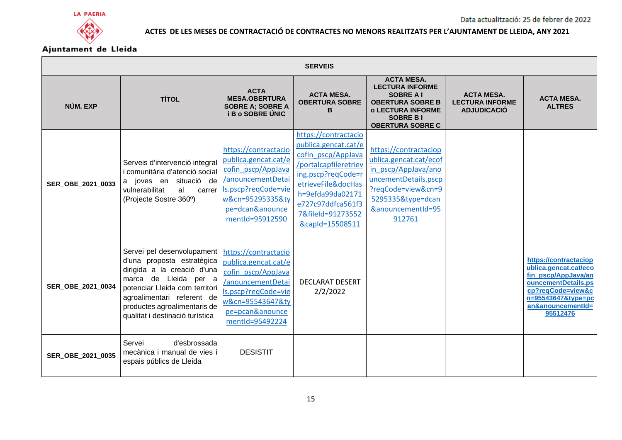



| <b>SERVEIS</b>    |                                                                                                                                                                                                                                                     |                                                                                                                                                                          |                                                                                                                                                                                                                          |                                                                                                                                                                          |                                                                   |                                                                                                                                                                          |  |
|-------------------|-----------------------------------------------------------------------------------------------------------------------------------------------------------------------------------------------------------------------------------------------------|--------------------------------------------------------------------------------------------------------------------------------------------------------------------------|--------------------------------------------------------------------------------------------------------------------------------------------------------------------------------------------------------------------------|--------------------------------------------------------------------------------------------------------------------------------------------------------------------------|-------------------------------------------------------------------|--------------------------------------------------------------------------------------------------------------------------------------------------------------------------|--|
| NÚM. EXP          | <b>TÍTOL</b>                                                                                                                                                                                                                                        | <b>ACTA</b><br><b>MESA.OBERTURA</b><br><b>SOBRE A; SOBRE A</b><br><b>i B o SOBRE UNIC</b>                                                                                | <b>ACTA MESA.</b><br><b>OBERTURA SOBRE</b><br>B                                                                                                                                                                          | <b>ACTA MESA.</b><br><b>LECTURA INFORME</b><br><b>SOBRE A I</b><br><b>OBERTURA SOBRE B</b><br><b>o LECTURA INFORME</b><br><b>SOBRE BI</b><br><b>OBERTURA SOBRE C</b>     | <b>ACTA MESA.</b><br><b>LECTURA INFORME</b><br><b>ADJUDICACIÓ</b> | <b>ACTA MESA.</b><br><b>ALTRES</b>                                                                                                                                       |  |
| SER_OBE_2021_0033 | Serveis d'intervenció integral<br>i comunitària d'atenció social<br>a joves en situació de<br>vulnerabilitat<br>al<br>carrer<br>(Projecte Sostre 360°)                                                                                              | https://contractacio<br>publica.gencat.cat/e<br>cofin pscp/AppJava<br>/anouncementDetai<br>Is.pscp?reqCode=vie<br>w&cn=95295335&ty<br>pe=dcan&anounce<br>mentId=95912590 | https://contractacio<br>publica.gencat.cat/e<br>cofin pscp/AppJava<br>/portalcapfileretriev<br>ing.pscp?reqCode=r<br>etrieveFile&docHas<br>h=9efda99da02171<br>e727c97ddfca561f3<br>7&fileId=91273552<br>&capId=15508511 | https://contractaciop<br>ublica.gencat.cat/ecof<br>in pscp/AppJava/ano<br>uncementDetails.pscp<br>?reqCode=view&cn=9<br>5295335&type=dcan<br>&anouncementId=95<br>912761 |                                                                   |                                                                                                                                                                          |  |
| SER_OBE_2021_0034 | Servei pel desenvolupament<br>d'una proposta estratègica<br>dirigida a la creació d'una<br>marca de Lleida per a<br>potenciar Lleida com territori<br>agroalimentari referent de<br>productes agroalimentaris de<br>qualitat i destinació turística | https://contractacio<br>publica.gencat.cat/e<br>cofin pscp/AppJava<br>anouncementDetai<br>ls.pscp?reqCode=vie<br>w&cn=95543647&ty<br>pe=pcan&anounce<br>mentId=95492224  | <b>DECLARAT DESERT</b><br>2/2/2022                                                                                                                                                                                       |                                                                                                                                                                          |                                                                   | https://contractaciop<br>ublica.gencat.cat/eco<br>fin_pscp/AppJava/an<br>ouncementDetails.ps<br>cp?reqCode=view&c<br>n=95543647&type=pc<br>an&anouncementId=<br>95512476 |  |
| SER_OBE_2021_0035 | d'esbrossada<br>Servei<br>mecànica i manual de vies i<br>espais públics de Lleida                                                                                                                                                                   | <b>DESISTIT</b>                                                                                                                                                          |                                                                                                                                                                                                                          |                                                                                                                                                                          |                                                                   |                                                                                                                                                                          |  |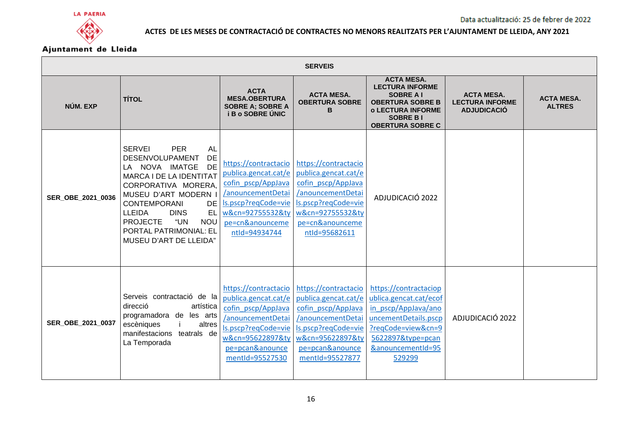





| <b>SERVEIS</b>    |                                                                                                                                                                                                                                                                                                                                                  |                                                                                                                                                                        |                                                                                                                                                                                               |                                                                                                                                                                          |                                                                   |                                    |  |  |
|-------------------|--------------------------------------------------------------------------------------------------------------------------------------------------------------------------------------------------------------------------------------------------------------------------------------------------------------------------------------------------|------------------------------------------------------------------------------------------------------------------------------------------------------------------------|-----------------------------------------------------------------------------------------------------------------------------------------------------------------------------------------------|--------------------------------------------------------------------------------------------------------------------------------------------------------------------------|-------------------------------------------------------------------|------------------------------------|--|--|
| NÚM. EXP          | <b>TÍTOL</b>                                                                                                                                                                                                                                                                                                                                     | <b>ACTA</b><br><b>MESA.OBERTURA</b><br><b>SOBRE A; SOBRE A</b><br><b>i B o SOBRE ÚNIC</b>                                                                              | <b>ACTA MESA.</b><br><b>OBERTURA SOBRE</b><br>в                                                                                                                                               | <b>ACTA MESA.</b><br><b>LECTURA INFORME</b><br><b>SOBRE A I</b><br><b>OBERTURA SOBRE B</b><br><b>o LECTURA INFORME</b><br><b>SOBRE BI</b><br><b>OBERTURA SOBRE C</b>     | <b>ACTA MESA.</b><br><b>LECTURA INFORME</b><br><b>ADJUDICACIÓ</b> | <b>ACTA MESA.</b><br><b>ALTRES</b> |  |  |
| SER_OBE_2021_0036 | <b>PER</b><br><b>SERVEI</b><br><b>AL</b><br><b>DE</b><br>DESENVOLUPAMENT<br>DE<br>LA NOVA IMATGE<br>MARCA I DE LA IDENTITAT<br>CORPORATIVA MORERA,<br>MUSEU D'ART MODERN I<br><b>CONTEMPORANI</b><br><b>DE</b><br><b>LLEIDA</b><br><b>DINS</b><br>EL<br><b>PROJECTE</b><br>"UN<br><b>NOU</b><br>PORTAL PATRIMONIAL: EL<br>MUSEU D'ART DE LLEIDA" | https://contractacio<br>publica.gencat.cat/e<br>cofin pscp/AppJava<br>/anouncementDetai<br>Is.pscp?reqCode=vie<br>w&cn=92755532&ty<br>pe=cn&anounceme<br>ntld=94934744 | https://contractacio<br>publica.gencat.cat/e<br>cofin pscp/AppJava<br>/anouncementDetai<br>ls.pscp?regCode=vie<br>w&cn=92755532&tv<br>pe=cn&anounceme<br>ntld=95682611                        | ADJUDICACIÓ 2022                                                                                                                                                         |                                                                   |                                    |  |  |
| SER_OBE_2021_0037 | Serveis contractació de la<br>direcció<br>artística<br>programadora de les arts<br>escèniques<br>altres<br>manifestacions teatrals de<br>La Temporada                                                                                                                                                                                            | publica.gencat.cat/e<br>cofin_pscp/AppJava<br>/anouncementDetai<br>Is.pscp?regCode=vie<br>w&cn=95622897&ty<br>pe=pcan&anounce<br>mentId=95527530                       | https://contractacio https://contractacio<br>publica.gencat.cat/e<br>cofin pscp/AppJava<br>/anouncementDetai<br>ls.pscp?reqCode=vie<br>w&cn=95622897&ty<br>pe=pcan&anounce<br>mentId=95527877 | https://contractaciop<br>ublica.gencat.cat/ecof<br>in pscp/AppJava/ano<br>uncementDetails.pscp<br>?reqCode=view&cn=9<br>5622897&type=pcan<br>&anouncementId=95<br>529299 | ADJUDICACIÓ 2022                                                  |                                    |  |  |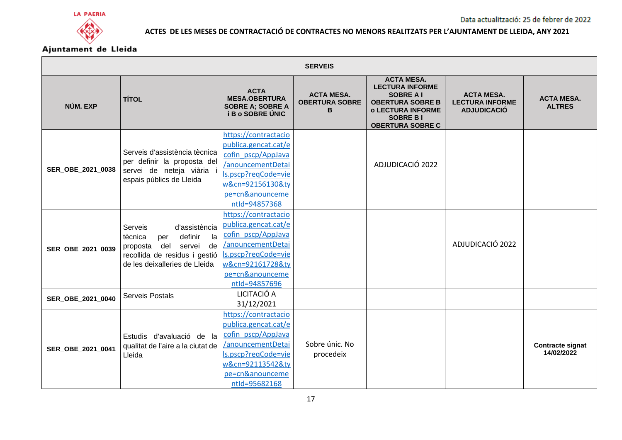



| <b>SERVEIS</b>    |                                                                                                                                                                  |                                                                                                                                                                        |                                                 |                                                                                                                                                                      |                                                                   |                                       |  |
|-------------------|------------------------------------------------------------------------------------------------------------------------------------------------------------------|------------------------------------------------------------------------------------------------------------------------------------------------------------------------|-------------------------------------------------|----------------------------------------------------------------------------------------------------------------------------------------------------------------------|-------------------------------------------------------------------|---------------------------------------|--|
| NÚM. EXP          | <b>TÍTOL</b>                                                                                                                                                     | <b>ACTA</b><br><b>MESA.OBERTURA</b><br><b>SOBRE A; SOBRE A</b><br><b>i B o SOBRE ÚNIC</b>                                                                              | <b>ACTA MESA.</b><br><b>OBERTURA SOBRE</b><br>в | <b>ACTA MESA.</b><br><b>LECTURA INFORME</b><br><b>SOBRE A I</b><br><b>OBERTURA SOBRE B</b><br><b>o LECTURA INFORME</b><br><b>SOBRE BI</b><br><b>OBERTURA SOBRE C</b> | <b>ACTA MESA.</b><br><b>LECTURA INFORME</b><br><b>ADJUDICACIÓ</b> | <b>ACTA MESA.</b><br><b>ALTRES</b>    |  |
| SER_OBE_2021_0038 | Serveis d'assistència tècnica<br>per definir la proposta del<br>servei de neteja viària<br>espais públics de Lleida                                              | https://contractacio<br>publica.gencat.cat/e<br>cofin pscp/AppJava<br>anouncementDetai<br>ls.pscp?reqCode=vie<br>w&cn=92156130&ty<br>pe=cn&anounceme<br>ntld=94857368  |                                                 | ADJUDICACIÓ 2022                                                                                                                                                     |                                                                   |                                       |  |
| SER_OBE_2021_0039 | Serveis<br>d'assistència<br>definir<br>la<br>tècnica<br>per<br>del<br>servei<br>de<br>proposta<br>recollida de residus i gestió<br>de les deixalleries de Lleida | https://contractacio<br>publica.gencat.cat/e<br>cofin pscp/AppJava<br>/anouncementDetai<br>ls.pscp?reqCode=vie<br>w&cn=92161728&ty<br>pe=cn&anounceme<br>ntld=94857696 |                                                 |                                                                                                                                                                      | ADJUDICACIÓ 2022                                                  |                                       |  |
| SER_OBE_2021_0040 | Serveis Postals                                                                                                                                                  | LICITACIÓ A<br>31/12/2021                                                                                                                                              |                                                 |                                                                                                                                                                      |                                                                   |                                       |  |
| SER_OBE_2021_0041 | Estudis d'avaluació de la<br>qualitat de l'aire a la ciutat de<br>Lleida                                                                                         | https://contractacio<br>publica.gencat.cat/e<br>cofin pscp/AppJava<br>/anouncementDetai<br>Is.pscp?reqCode=vie<br>w&cn=92113542&ty<br>pe=cn&anounceme<br>ntld=95682168 | Sobre únic. No<br>procedeix                     |                                                                                                                                                                      |                                                                   | <b>Contracte signat</b><br>14/02/2022 |  |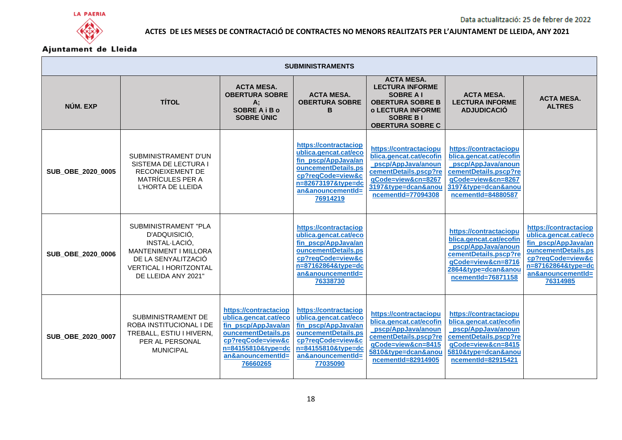





| <b>SUBMINISTRAMENTS</b> |                                                                                                                                                                       |                                                                                                                                                                          |                                                                                                                                                                          |                                                                                                                                                                      |                                                                                                                                                                     |                                                                                                                                                                          |  |
|-------------------------|-----------------------------------------------------------------------------------------------------------------------------------------------------------------------|--------------------------------------------------------------------------------------------------------------------------------------------------------------------------|--------------------------------------------------------------------------------------------------------------------------------------------------------------------------|----------------------------------------------------------------------------------------------------------------------------------------------------------------------|---------------------------------------------------------------------------------------------------------------------------------------------------------------------|--------------------------------------------------------------------------------------------------------------------------------------------------------------------------|--|
| NÚM. EXP                | <b>TÍTOL</b>                                                                                                                                                          | <b>ACTA MESA.</b><br><b>OBERTURA SOBRE</b><br>A:<br><b>SOBRE A i B o</b><br><b>SOBRE UNIC</b>                                                                            | <b>ACTA MESA.</b><br><b>OBERTURA SOBRE</b><br>в                                                                                                                          | <b>ACTA MESA.</b><br><b>LECTURA INFORME</b><br><b>SOBRE A I</b><br><b>OBERTURA SOBRE B</b><br><b>o LECTURA INFORME</b><br><b>SOBRE BI</b><br><b>OBERTURA SOBRE C</b> | <b>ACTA MESA.</b><br><b>LECTURA INFORME</b><br><b>ADJUDICACIO</b>                                                                                                   | <b>ACTA MESA.</b><br><b>ALTRES</b>                                                                                                                                       |  |
| SUB_OBE_2020_0005       | SUBMINISTRAMENT D'UN<br>SISTEMA DE LECTURA I<br>RECONEIXEMENT DE<br><b>MATRÍCULES PER A</b><br>L'HORTA DE LLEIDA                                                      |                                                                                                                                                                          | https://contractaciop<br>ublica.gencat.cat/eco<br>fin_pscp/AppJava/an<br>ouncementDetails.ps<br>cp?reqCode=view&c<br>n=82673197&type=dc<br>an&anouncementId=<br>76914219 | https://contractaciopu<br>blica.gencat.cat/ecofin<br>pscp/AppJava/anoun<br>cementDetails.pscp?re<br>qCode=view&cn=8267<br>3197&type=dcan&anou<br>ncementId=77094308  | https://contractaciopu<br>blica.gencat.cat/ecofin<br>pscp/AppJava/anoun<br>cementDetails.pscp?re<br>qCode=view&cn=8267<br>3197&type=dcan&anou<br>ncementId=84880587 |                                                                                                                                                                          |  |
| SUB_OBE_2020_0006       | SUBMINISTRAMENT "PLA<br>D'ADQUISICIÓ,<br>INSTAL-LACIÓ,<br><b>MANTENIMENT I MILLORA</b><br>DE LA SENYALITZACIÓ<br><b>VERTICAL I HORITZONTAL</b><br>DE LLEIDA ANY 2021" |                                                                                                                                                                          | https://contractaciop<br>ublica.gencat.cat/eco<br>fin_pscp/AppJava/an<br>ouncementDetails.ps<br>cp?reqCode=view&c<br>n=87162864&tvpe=dc<br>an&anouncementId=<br>76338730 |                                                                                                                                                                      | https://contractaciopu<br>blica.gencat.cat/ecofin<br>pscp/AppJava/anoun<br>cementDetails.pscp?re<br>qCode=view&cn=8716<br>2864&type=dcan&anou<br>ncementId=76871158 | https://contractaciop<br>ublica.gencat.cat/eco<br>fin pscp/AppJava/an<br>ouncementDetails.ps<br>cp?reqCode=view&c<br>n=87162864&type=dc<br>an&anouncementId=<br>76314985 |  |
| SUB_OBE_2020_0007       | SUBMINISTRAMENT DE<br>ROBA INSTITUCIONAL I DE<br>TREBALL, ESTIU I HIVERN,<br>PER AL PERSONAL<br><b>MUNICIPAL</b>                                                      | https://contractaciop<br>ublica.gencat.cat/eco<br>fin pscp/AppJava/an<br>ouncementDetails.ps<br>cp?reqCode=view&c<br>n=84155810&type=dc<br>an&anouncementId=<br>76660265 | https://contractaciop<br>ublica.gencat.cat/eco<br>fin pscp/AppJava/an<br>ouncementDetails.ps<br>cp?reqCode=view&c<br>n=84155810&type=dc<br>an&anouncementId=<br>77035090 | https://contractaciopu<br>blica.gencat.cat/ecofin<br>pscp/AppJava/anoun<br>cementDetails.pscp?re<br>qCode=view&cn=8415<br>5810&type=dcan&anou<br>ncementId=82914905  | https://contractaciopu<br>blica.gencat.cat/ecofin<br>pscp/AppJava/anoun<br>cementDetails.pscp?re<br>qCode=view&cn=8415<br>5810&type=dcan&anou<br>ncementId=82915421 |                                                                                                                                                                          |  |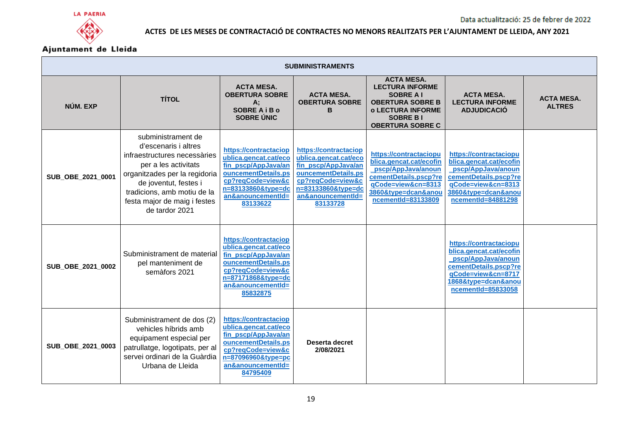



| <b>SUBMINISTRAMENTS</b> |                                                                                                                                                                                                                                               |                                                                                                                                                                          |                                                                                                                                                                          |                                                                                                                                                                     |                                                                                                                                                                     |                                    |  |
|-------------------------|-----------------------------------------------------------------------------------------------------------------------------------------------------------------------------------------------------------------------------------------------|--------------------------------------------------------------------------------------------------------------------------------------------------------------------------|--------------------------------------------------------------------------------------------------------------------------------------------------------------------------|---------------------------------------------------------------------------------------------------------------------------------------------------------------------|---------------------------------------------------------------------------------------------------------------------------------------------------------------------|------------------------------------|--|
| NÚM. EXP                | <b>TÍTOL</b>                                                                                                                                                                                                                                  | <b>ACTA MESA.</b><br><b>OBERTURA SOBRE</b><br>А;<br><b>SOBRE A i B o</b><br><b>SOBRE ÚNIC</b>                                                                            | <b>ACTA MESA.</b><br><b>OBERTURA SOBRE</b><br>в                                                                                                                          | <b>ACTA MESA.</b><br><b>LECTURA INFORME</b><br><b>SOBRE AI</b><br><b>OBERTURA SOBRE B</b><br><b>o LECTURA INFORME</b><br><b>SOBRE BI</b><br><b>OBERTURA SOBRE C</b> | <b>ACTA MESA.</b><br><b>LECTURA INFORME</b><br><b>ADJUDICACIÓ</b>                                                                                                   | <b>ACTA MESA.</b><br><b>ALTRES</b> |  |
| SUB_OBE_2021_0001       | subministrament de<br>d'escenaris i altres<br>infraestructures necessàries<br>per a les activitats<br>organitzades per la regidoria<br>de joventut, festes i<br>tradicions, amb motiu de la<br>festa major de maig i festes<br>de tardor 2021 | https://contractaciop<br>ublica.gencat.cat/eco<br>fin pscp/AppJava/an<br>ouncementDetails.ps<br>cp?reqCode=view&c<br>n=83133860&type=dc<br>an&anouncementId=<br>83133622 | https://contractaciop<br>ublica.gencat.cat/eco<br>fin_pscp/AppJava/an<br>ouncementDetails.ps<br>cp?reqCode=view&c<br>n=83133860&type=dc<br>an&anouncementId=<br>83133728 | https://contractaciopu<br>blica.gencat.cat/ecofin<br>pscp/AppJava/anoun<br>cementDetails.pscp?re<br>gCode=view&cn=8313<br>3860&type=dcan&anou<br>ncementId=83133809 | https://contractaciopu<br>blica.gencat.cat/ecofin<br>pscp/AppJava/anoun<br>cementDetails.pscp?re<br>gCode=view&cn=8313<br>3860&type=dcan&anou<br>ncementId=84881298 |                                    |  |
| SUB_OBE_2021_0002       | Subministrament de material<br>pel manteniment de<br>semàfors 2021                                                                                                                                                                            | https://contractaciop<br>ublica.gencat.cat/eco<br>fin pscp/AppJava/an<br>ouncementDetails.ps<br>cp?reqCode=view&c<br>n=87171868&type=dc<br>an&anouncementId=<br>85832875 |                                                                                                                                                                          |                                                                                                                                                                     | https://contractaciopu<br>blica.gencat.cat/ecofin<br>pscp/AppJava/anoun<br>cementDetails.pscp?re<br>qCode=view&cn=8717<br>1868&type=dcan&anou<br>ncementId=85833058 |                                    |  |
| SUB_OBE_2021_0003       | Subministrament de dos (2)<br>vehicles híbrids amb<br>equipament especial per<br>patrullatge, logotipats, per al<br>servei ordinari de la Guàrdia<br>Urbana de Lleida                                                                         | https://contractaciop<br>ublica.gencat.cat/eco<br>fin_pscp/AppJava/an<br>ouncementDetails.ps<br>cp?reqCode=view&c<br>n=87096960&type=pc<br>an&anouncementId=<br>84795409 | Deserta decret<br>2/08/2021                                                                                                                                              |                                                                                                                                                                     |                                                                                                                                                                     |                                    |  |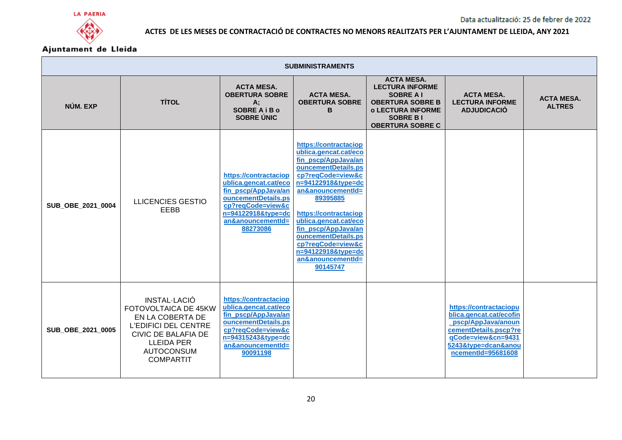





|                   | <b>SUBMINISTRAMENTS</b>                                                                                                                                                      |                                                                                                                                                                          |                                                                                                                                                                                                                                                                                                                                                      |                                                                                                                                                                      |                                                                                                                                                                     |                                    |  |  |
|-------------------|------------------------------------------------------------------------------------------------------------------------------------------------------------------------------|--------------------------------------------------------------------------------------------------------------------------------------------------------------------------|------------------------------------------------------------------------------------------------------------------------------------------------------------------------------------------------------------------------------------------------------------------------------------------------------------------------------------------------------|----------------------------------------------------------------------------------------------------------------------------------------------------------------------|---------------------------------------------------------------------------------------------------------------------------------------------------------------------|------------------------------------|--|--|
| NÚM. EXP          | <b>TÍTOL</b>                                                                                                                                                                 | <b>ACTA MESA.</b><br><b>OBERTURA SOBRE</b><br>A;<br><b>SOBRE A i B o</b><br><b>SOBRE ÚNIC</b>                                                                            | <b>ACTA MESA.</b><br><b>OBERTURA SOBRE</b><br>B                                                                                                                                                                                                                                                                                                      | <b>ACTA MESA.</b><br><b>LECTURA INFORME</b><br><b>SOBRE A I</b><br><b>OBERTURA SOBRE B</b><br><b>o LECTURA INFORME</b><br><b>SOBRE BI</b><br><b>OBERTURA SOBRE C</b> | <b>ACTA MESA.</b><br><b>LECTURA INFORME</b><br><b>ADJUDICACIÓ</b>                                                                                                   | <b>ACTA MESA.</b><br><b>ALTRES</b> |  |  |
| SUB_OBE_2021_0004 | <b>LLICENCIES GESTIO</b><br>EEBB                                                                                                                                             | https://contractaciop<br>ublica.gencat.cat/eco<br>fin pscp/AppJava/an<br>ouncementDetails.ps<br>cp?reqCode=view&c<br>n=94122918&type=dc<br>an&anouncementId=<br>88273086 | https://contractaciop<br>ublica.gencat.cat/eco<br>fin_pscp/AppJava/an<br>ouncementDetails.ps<br>cp?reqCode=view&c<br>n=94122918&type=dc<br>an&anouncementId=<br>89395885<br>https://contractaciop<br>ublica.gencat.cat/eco<br>fin_pscp/AppJava/an<br>ouncementDetails.ps<br>cp?reqCode=view&c<br>n=94122918&type=dc<br>an&anouncementId=<br>90145747 |                                                                                                                                                                      |                                                                                                                                                                     |                                    |  |  |
| SUB_OBE_2021_0005 | INSTAL·LACIÓ<br>FOTOVOLTAICA DE 45KW<br>EN LA COBERTA DE<br><b>L'EDIFICI DEL CENTRE</b><br>CIVIC DE BALAFIA DE<br><b>LLEIDA PER</b><br><b>AUTOCONSUM</b><br><b>COMPARTIT</b> | https://contractaciop<br>ublica.gencat.cat/eco<br>fin_pscp/AppJava/an<br>ouncementDetails.ps<br>cp?reqCode=view&c<br>n=94315243&type=dc<br>an&anouncementId=<br>90091198 |                                                                                                                                                                                                                                                                                                                                                      |                                                                                                                                                                      | https://contractaciopu<br>blica.gencat.cat/ecofin<br>pscp/AppJava/anoun<br>cementDetails.pscp?re<br>qCode=view&cn=9431<br>5243&type=dcan&anou<br>ncementId=95681608 |                                    |  |  |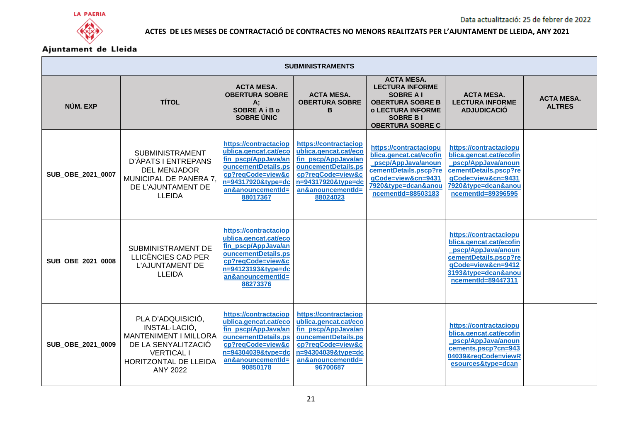



| <b>SUBMINISTRAMENTS</b> |                                                                                                                                                            |                                                                                                                                                                          |                                                                                                                                                                          |                                                                                                                                                                      |                                                                                                                                                                     |                                    |  |  |
|-------------------------|------------------------------------------------------------------------------------------------------------------------------------------------------------|--------------------------------------------------------------------------------------------------------------------------------------------------------------------------|--------------------------------------------------------------------------------------------------------------------------------------------------------------------------|----------------------------------------------------------------------------------------------------------------------------------------------------------------------|---------------------------------------------------------------------------------------------------------------------------------------------------------------------|------------------------------------|--|--|
| NÚM. EXP                | <b>TÍTOL</b>                                                                                                                                               | <b>ACTA MESA.</b><br><b>OBERTURA SOBRE</b><br>A;<br><b>SOBRE A i B o</b><br><b>SOBRE ÚNIC</b>                                                                            | <b>ACTA MESA.</b><br><b>OBERTURA SOBRE</b><br>в                                                                                                                          | <b>ACTA MESA.</b><br><b>LECTURA INFORME</b><br><b>SOBRE A I</b><br><b>OBERTURA SOBRE B</b><br><b>o LECTURA INFORME</b><br><b>SOBRE BI</b><br><b>OBERTURA SOBRE C</b> | <b>ACTA MESA.</b><br><b>LECTURA INFORME</b><br><b>ADJUDICACIÓ</b>                                                                                                   | <b>ACTA MESA.</b><br><b>ALTRES</b> |  |  |
| SUB_OBE_2021_0007       | <b>SUBMINISTRAMENT</b><br>D'ÀPATS I ENTREPANS<br><b>DEL MENJADOR</b><br>MUNICIPAL DE PANERA 7,<br>DE L'AJUNTAMENT DE<br><b>LLEIDA</b>                      | https://contractaciop<br>ublica.gencat.cat/eco<br>fin pscp/AppJava/an<br>ouncementDetails.ps<br>cp?reqCode=view&c<br>n=94317920&type=dc<br>an&anouncementId=<br>88017367 | https://contractaciop<br>ublica.gencat.cat/eco<br>fin pscp/AppJava/an<br>ouncementDetails.ps<br>cp?reqCode=view&c<br>n=94317920&type=dc<br>an&anouncementId=<br>88024023 | https://contractaciopu<br>blica.gencat.cat/ecofin<br>pscp/AppJava/anoun<br>cementDetails.pscp?re<br>qCode=view&cn=9431<br>7920&type=dcan&anou<br>ncementId=88503183  | https://contractaciopu<br>blica.gencat.cat/ecofin<br>pscp/AppJava/anoun<br>cementDetails.pscp?re<br>qCode=view&cn=9431<br>7920&type=dcan&anou<br>ncementId=89396595 |                                    |  |  |
| SUB_OBE_2021_0008       | SUBMINISTRAMENT DE<br>LLICÈNCIES CAD PER<br><b>L'AJUNTAMENT DE</b><br><b>LLEIDA</b>                                                                        | https://contractaciop<br>ublica.gencat.cat/eco<br>fin_pscp/AppJava/an<br>ouncementDetails.ps<br>cp?reqCode=view&c<br>n=94123193&type=dc<br>an&anouncementId=<br>88273376 |                                                                                                                                                                          |                                                                                                                                                                      | https://contractaciopu<br>blica.gencat.cat/ecofin<br>pscp/AppJava/anoun<br>cementDetails.pscp?re<br>qCode=view&cn=9412<br>3193&type=dcan&anou<br>ncementId=89447311 |                                    |  |  |
| SUB OBE 2021 0009       | PLA D'ADQUISICIÓ,<br>INSTAL·LACIÓ,<br>MANTENIMENT I MILLORA<br>DE LA SENYALITZACIÓ<br><b>VERTICAL I</b><br><b>HORITZONTAL DE LLEIDA</b><br><b>ANY 2022</b> | https://contractaciop<br>ublica.gencat.cat/eco<br>fin_pscp/AppJava/an<br>ouncementDetails.ps<br>cp?regCode=view&c<br>n=94304039&tvpe=dc<br>an&anouncementId=<br>90850178 | https://contractaciop<br>ublica.gencat.cat/eco<br>fin_pscp/AppJava/an<br>ouncementDetails.ps<br>cp?reqCode=view&c<br>n=94304039&tvpe=dc<br>an&anouncementId=<br>96700687 |                                                                                                                                                                      | https://contractaciopu<br>blica.gencat.cat/ecofin<br>pscp/AppJava/anoun<br>cements.pscp?cn=943<br>04039&reqCode=viewR<br>esources&type=dcan                         |                                    |  |  |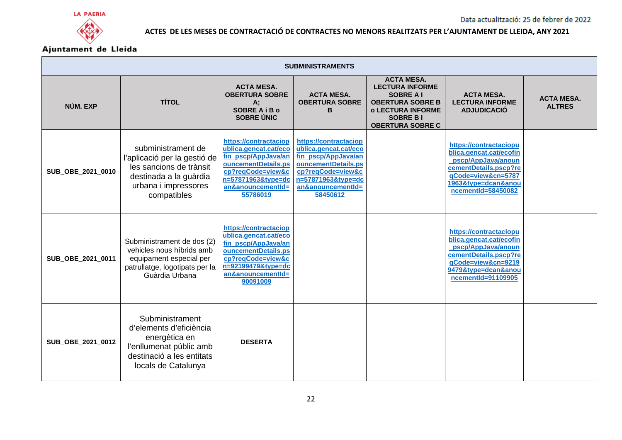





| <b>SUBMINISTRAMENTS</b> |                                                                                                                                                |                                                                                                                                                                          |                                                                                                                                                                          |                                                                                                                                                                      |                                                                                                                                                                     |                                    |  |  |
|-------------------------|------------------------------------------------------------------------------------------------------------------------------------------------|--------------------------------------------------------------------------------------------------------------------------------------------------------------------------|--------------------------------------------------------------------------------------------------------------------------------------------------------------------------|----------------------------------------------------------------------------------------------------------------------------------------------------------------------|---------------------------------------------------------------------------------------------------------------------------------------------------------------------|------------------------------------|--|--|
| NÚM. EXP                | <b>TÍTOL</b>                                                                                                                                   | <b>ACTA MESA.</b><br><b>OBERTURA SOBRE</b><br>A:<br><b>SOBRE A i B o</b><br>SOBRE ÚNIC                                                                                   | <b>ACTA MESA.</b><br><b>OBERTURA SOBRE</b><br>в                                                                                                                          | <b>ACTA MESA.</b><br><b>LECTURA INFORME</b><br><b>SOBRE A I</b><br><b>OBERTURA SOBRE B</b><br><b>o LECTURA INFORME</b><br><b>SOBRE BI</b><br><b>OBERTURA SOBRE C</b> | <b>ACTA MESA.</b><br><b>LECTURA INFORME</b><br><b>ADJUDICACIÓ</b>                                                                                                   | <b>ACTA MESA.</b><br><b>ALTRES</b> |  |  |
| SUB_OBE_2021_0010       | subministrament de<br>l'aplicació per la gestió de<br>les sancions de trànsit<br>destinada a la guàrdia<br>urbana i impressores<br>compatibles | https://contractaciop<br>ublica.gencat.cat/eco<br>fin_pscp/AppJava/an<br>ouncementDetails.ps<br>cp?reqCode=view&c<br>n=57871963&type=dc<br>an&anouncementId=<br>55786019 | https://contractaciop<br>ublica.gencat.cat/eco<br>fin_pscp/AppJava/an<br>ouncementDetails.ps<br>cp?reqCode=view&c<br>n=57871963&type=dc<br>an&anouncementId=<br>58450612 |                                                                                                                                                                      | https://contractaciopu<br>blica.gencat.cat/ecofin<br>pscp/AppJava/anoun<br>cementDetails.pscp?re<br>qCode=view&cn=5787<br>1963&type=dcan&anou<br>ncementId=58450082 |                                    |  |  |
| SUB_OBE_2021_0011       | Subministrament de dos (2)<br>vehicles nous híbrids amb<br>equipament especial per<br>patrullatge, logotipats per la<br>Guàrdia Urbana         | https://contractaciop<br>ublica.gencat.cat/eco<br>fin_pscp/AppJava/an<br>ouncementDetails.ps<br>cp?reqCode=view&c<br>n=92199479&type=dc<br>an&anouncementId=<br>90091009 |                                                                                                                                                                          |                                                                                                                                                                      | https://contractaciopu<br>blica.gencat.cat/ecofin<br>pscp/AppJava/anoun<br>cementDetails.pscp?re<br>qCode=view&cn=9219<br>9479&type=dcan&anou<br>ncementId=91109905 |                                    |  |  |
| SUB_OBE_2021_0012       | Subministrament<br>d'elements d'eficiència<br>energètica en<br>l'enllumenat públic amb<br>destinació a les entitats<br>locals de Catalunya     | <b>DESERTA</b>                                                                                                                                                           |                                                                                                                                                                          |                                                                                                                                                                      |                                                                                                                                                                     |                                    |  |  |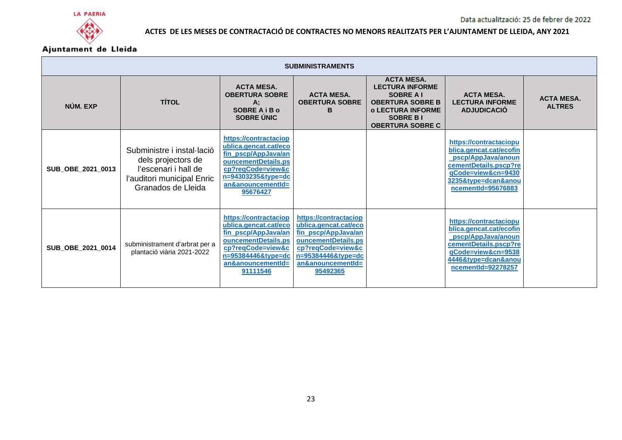



| <b>SUBMINISTRAMENTS</b> |                                                                                                                              |                                                                                                                                                                             |                                                                                                                                                                          |                                                                                                                                                                      |                                                                                                                                                                     |                                    |  |  |
|-------------------------|------------------------------------------------------------------------------------------------------------------------------|-----------------------------------------------------------------------------------------------------------------------------------------------------------------------------|--------------------------------------------------------------------------------------------------------------------------------------------------------------------------|----------------------------------------------------------------------------------------------------------------------------------------------------------------------|---------------------------------------------------------------------------------------------------------------------------------------------------------------------|------------------------------------|--|--|
| NÚM. EXP                | <b>TÍTOL</b>                                                                                                                 | <b>ACTA MESA.</b><br><b>OBERTURA SOBRE</b><br>А;<br><b>SOBRE A i B o</b><br><b>SOBRE ÚNIC</b>                                                                               | <b>ACTA MESA.</b><br><b>OBERTURA SOBRE</b><br>в                                                                                                                          | <b>ACTA MESA.</b><br><b>LECTURA INFORME</b><br><b>SOBRE A I</b><br><b>OBERTURA SOBRE B</b><br><b>O LECTURA INFORME</b><br><b>SOBRE BI</b><br><b>OBERTURA SOBRE C</b> | <b>ACTA MESA.</b><br><b>LECTURA INFORME</b><br><b>ADJUDICACIÓ</b>                                                                                                   | <b>ACTA MESA.</b><br><b>ALTRES</b> |  |  |
| SUB_OBE_2021_0013       | Subministre i instal·lació<br>dels projectors de<br>l'escenari i hall de<br>l'auditori municipal Enric<br>Granados de Lleida | https://contractaciop<br>ublica.gencat.cat/eco<br>fin_pscp/AppJava/an<br>ouncementDetails.ps<br>cp?reqCode=view&c<br>$n=94303235$ &type=dc<br>an&anouncementId=<br>95676427 |                                                                                                                                                                          |                                                                                                                                                                      | https://contractaciopu<br>blica.gencat.cat/ecofin<br>pscp/AppJava/anoun<br>cementDetails.pscp?re<br>qCode=view&cn=9430<br>3235&type=dcan&anou<br>ncementId=95676883 |                                    |  |  |
| SUB_OBE_2021_0014       | subministrament d'arbrat per a<br>plantació viària 2021-2022                                                                 | https://contractaciop<br>ublica.gencat.cat/eco<br>fin pscp/AppJava/an<br>ouncementDetails.ps<br>cp?reqCode=view&c<br>n=95384446&type=dc<br>an&anouncementId=<br>91111546    | https://contractaciop<br>ublica.gencat.cat/eco<br>fin pscp/AppJava/an<br>ouncementDetails.ps<br>cp?reqCode=view&c<br>n=95384446&type=dc<br>an&anouncementId=<br>95492365 |                                                                                                                                                                      | https://contractaciopu<br>blica.gencat.cat/ecofin<br>pscp/AppJava/anoun<br>cementDetails.pscp?re<br>qCode=view&cn=9538<br>4446&type=dcan&anou<br>ncementId=92278257 |                                    |  |  |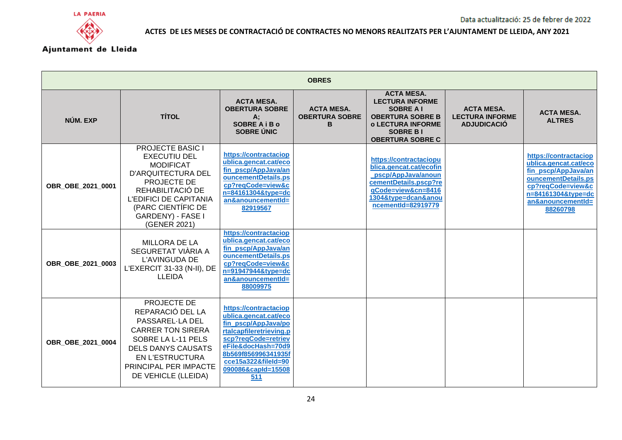

| <b>OBRES</b>      |                                                                                                                                                                                                                                |                                                                                                                                                                                                                          |                                                 |                                                                                                                                                                      |                                                                   |                                                                                                                                                                          |  |
|-------------------|--------------------------------------------------------------------------------------------------------------------------------------------------------------------------------------------------------------------------------|--------------------------------------------------------------------------------------------------------------------------------------------------------------------------------------------------------------------------|-------------------------------------------------|----------------------------------------------------------------------------------------------------------------------------------------------------------------------|-------------------------------------------------------------------|--------------------------------------------------------------------------------------------------------------------------------------------------------------------------|--|
| NÚM. EXP          | <b>TÍTOL</b>                                                                                                                                                                                                                   | <b>ACTA MESA.</b><br><b>OBERTURA SOBRE</b><br>A:<br><b>SOBRE A i B o</b><br><b>SOBRE ÚNIC</b>                                                                                                                            | <b>ACTA MESA.</b><br><b>OBERTURA SOBRE</b><br>в | <b>ACTA MESA.</b><br><b>LECTURA INFORME</b><br><b>SOBRE A I</b><br><b>OBERTURA SOBRE B</b><br><b>o LECTURA INFORME</b><br><b>SOBRE BI</b><br><b>OBERTURA SOBRE C</b> | <b>ACTA MESA.</b><br><b>LECTURA INFORME</b><br><b>ADJUDICACIÓ</b> | <b>ACTA MESA.</b><br><b>ALTRES</b>                                                                                                                                       |  |
| OBR OBE 2021 0001 | <b>PROJECTE BASIC I</b><br><b>EXECUTIU DEL</b><br><b>MODIFICAT</b><br><b>D'ARQUITECTURA DEL</b><br>PROJECTE DE<br>REHABILITACIÓ DE<br><b>L'EDIFICI DE CAPITANIA</b><br>(PARC CIENTÍFIC DE<br>GARDENY) - FASE I<br>(GENER 2021) | https://contractaciop<br>ublica.gencat.cat/eco<br>fin_pscp/AppJava/an<br>ouncementDetails.ps<br>cp?regCode=view&c<br>n=84161304&type=dc<br>an&anouncementId=<br>82919567                                                 |                                                 | https://contractaciopu<br>blica.gencat.cat/ecofin<br>pscp/AppJava/anoun<br>cementDetails.pscp?re<br>gCode=view&cn=8416<br>1304&type=dcan&anou<br>ncementId=82919779  |                                                                   | https://contractaciop<br>ublica.gencat.cat/eco<br>fin_pscp/AppJava/an<br>ouncementDetails.ps<br>cp?reqCode=view&c<br>n=84161304&type=dc<br>an&anouncementId=<br>88260798 |  |
| OBR OBE 2021 0003 | <b>MILLORA DE LA</b><br>SEGURETAT VIÀRIA A<br>L'AVINGUDA DE<br>L'EXERCIT 31-33 (N-II), DE<br><b>LLEIDA</b>                                                                                                                     | https://contractaciop<br>ublica.gencat.cat/eco<br>fin_pscp/AppJava/an<br>ouncementDetails.ps<br>cp?reqCode=view&c<br>n=91947944&type=dc<br>an&anouncementId=<br>88009975                                                 |                                                 |                                                                                                                                                                      |                                                                   |                                                                                                                                                                          |  |
| OBR OBE 2021 0004 | PROJECTE DE<br>REPARACIÓ DEL LA<br>PASSAREL-LA DEL<br><b>CARRER TON SIRERA</b><br>SOBRE LA L-11 PELS<br><b>DELS DANYS CAUSATS</b><br><b>EN L'ESTRUCTURA</b><br>PRINCIPAL PER IMPACTE<br>DE VEHICLE (LLEIDA)                    | https://contractaciop<br>ublica.gencat.cat/eco<br>fin_pscp/AppJava/po<br>rtalcapfileretrieving.p<br>scp?reqCode=retriev<br>eFile&docHash=70d9<br>8b569f856996341935f<br>cce15a322&fileId=90<br>090086&capId=15508<br>511 |                                                 |                                                                                                                                                                      |                                                                   |                                                                                                                                                                          |  |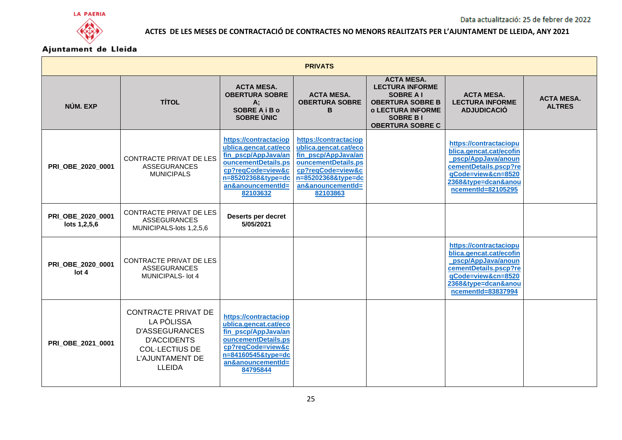

| <b>PRIVATS</b>                    |                                                                                                                                                             |                                                                                                                                                                          |                                                                                                                                                                          |                                                                                                                                                                      |                                                                                                                                                                     |                                    |  |
|-----------------------------------|-------------------------------------------------------------------------------------------------------------------------------------------------------------|--------------------------------------------------------------------------------------------------------------------------------------------------------------------------|--------------------------------------------------------------------------------------------------------------------------------------------------------------------------|----------------------------------------------------------------------------------------------------------------------------------------------------------------------|---------------------------------------------------------------------------------------------------------------------------------------------------------------------|------------------------------------|--|
| NÚM. EXP                          | <b>TÍTOL</b>                                                                                                                                                | <b>ACTA MESA.</b><br><b>OBERTURA SOBRE</b><br>A:<br><b>SOBRE A i B o</b><br>SOBRE ÚNIC                                                                                   | <b>ACTA MESA.</b><br><b>OBERTURA SOBRE</b><br>в                                                                                                                          | <b>ACTA MESA.</b><br><b>LECTURA INFORME</b><br><b>SOBRE A I</b><br><b>OBERTURA SOBRE B</b><br><b>o LECTURA INFORME</b><br><b>SOBRE BI</b><br><b>OBERTURA SOBRE C</b> | <b>ACTA MESA.</b><br><b>LECTURA INFORME</b><br><b>ADJUDICACIÓ</b>                                                                                                   | <b>ACTA MESA.</b><br><b>ALTRES</b> |  |
| PRI_OBE_2020_0001                 | CONTRACTE PRIVAT DE LES<br><b>ASSEGURANCES</b><br><b>MUNICIPALS</b>                                                                                         | https://contractaciop<br>ublica.gencat.cat/eco<br>fin_pscp/AppJava/an<br>ouncementDetails.ps<br>cp?reqCode=view&c<br>n=85202368&tvpe=dc<br>an&anouncementId=<br>82103632 | https://contractaciop<br>ublica.gencat.cat/eco<br>fin_pscp/AppJava/an<br>ouncementDetails.ps<br>cp?reqCode=view&c<br>n=85202368&type=dc<br>an&anouncementId=<br>82103863 |                                                                                                                                                                      | https://contractaciopu<br>blica.gencat.cat/ecofin<br>pscp/AppJava/anoun<br>cementDetails.pscp?re<br>qCode=view&cn=8520<br>2368&tvpe=dcan&anou<br>ncementId=82105295 |                                    |  |
| PRI_OBE_2020_0001<br>lots 1,2,5,6 | <b>CONTRACTE PRIVAT DE LES</b><br><b>ASSEGURANCES</b><br>MUNICIPALS-lots 1,2,5,6                                                                            | Deserts per decret<br>5/05/2021                                                                                                                                          |                                                                                                                                                                          |                                                                                                                                                                      |                                                                                                                                                                     |                                    |  |
| PRI OBE 2020 0001<br>lot 4        | <b>CONTRACTE PRIVAT DE LES</b><br><b>ASSEGURANCES</b><br><b>MUNICIPALS- lot 4</b>                                                                           |                                                                                                                                                                          |                                                                                                                                                                          |                                                                                                                                                                      | https://contractaciopu<br>blica.gencat.cat/ecofin<br>pscp/AppJava/anoun<br>cementDetails.pscp?re<br>qCode=view&cn=8520<br>2368&type=dcan&anou<br>ncementId=83837994 |                                    |  |
| <b>PRI OBE 2021 0001</b>          | <b>CONTRACTE PRIVAT DE</b><br>LA PÒLISSA<br><b>D'ASSEGURANCES</b><br><b>D'ACCIDENTS</b><br><b>COL·LECTIUS DE</b><br><b>L'AJUNTAMENT DE</b><br><b>LLEIDA</b> | https://contractaciop<br>ublica.gencat.cat/eco<br>fin_pscp/AppJava/an<br>ouncementDetails.ps<br>cp?reqCode=view&c<br>n=84160545&type=dc<br>an&anouncementId=<br>84795844 |                                                                                                                                                                          |                                                                                                                                                                      |                                                                                                                                                                     |                                    |  |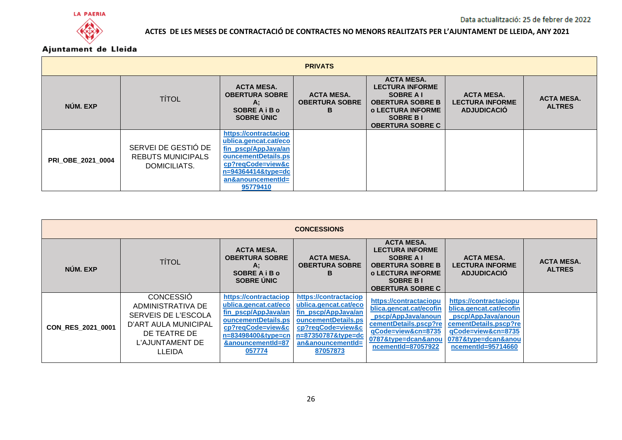



| <b>PRIVATS</b>           |                                                                 |                                                                                                                                                                          |                                                 |                                                                                                                                                               |                                                                   |                                    |  |
|--------------------------|-----------------------------------------------------------------|--------------------------------------------------------------------------------------------------------------------------------------------------------------------------|-------------------------------------------------|---------------------------------------------------------------------------------------------------------------------------------------------------------------|-------------------------------------------------------------------|------------------------------------|--|
| NÚM. EXP                 | <b>TÍTOL</b>                                                    | <b>ACTA MESA.</b><br><b>OBERTURA SOBRE</b><br>А;<br><b>SOBRE A i B o</b><br><b>SOBRE ÚNIC</b>                                                                            | <b>ACTA MESA.</b><br><b>OBERTURA SOBRE</b><br>в | <b>ACTA MESA.</b><br><b>LECTURA INFORME</b><br>SOBRE A I<br><b>OBERTURA SOBRE B</b><br><b>O LECTURA INFORME</b><br><b>SOBRE BI</b><br><b>OBERTURA SOBRE C</b> | <b>ACTA MESA.</b><br><b>LECTURA INFORME</b><br><b>ADJUDICACIÓ</b> | <b>ACTA MESA.</b><br><b>ALTRES</b> |  |
| <b>PRI OBE 2021 0004</b> | SERVEI DE GESTIÓ DE<br><b>REBUTS MUNICIPALS</b><br>DOMICILIATS. | https://contractaciop<br>ublica.gencat.cat/eco<br>fin pscp/AppJava/an<br>ouncementDetails.ps<br>cp?reqCode=view&c<br>n=94364414&type=dc<br>an&anouncementId=<br>95779410 |                                                 |                                                                                                                                                               |                                                                   |                                    |  |

| <b>CONCESSIONS</b> |                                                                                                                                   |                                                                                                                                                                        |                                                                                                                                                                          |                                                                                                                                                                      |                                                                                                                                                                     |                                    |  |
|--------------------|-----------------------------------------------------------------------------------------------------------------------------------|------------------------------------------------------------------------------------------------------------------------------------------------------------------------|--------------------------------------------------------------------------------------------------------------------------------------------------------------------------|----------------------------------------------------------------------------------------------------------------------------------------------------------------------|---------------------------------------------------------------------------------------------------------------------------------------------------------------------|------------------------------------|--|
| NÚM. EXP           | <b>TÍTOL</b>                                                                                                                      | <b>ACTA MESA.</b><br><b>OBERTURA SOBRE</b><br>А;<br><b>SOBRE A i B o</b><br><b>SOBRE ÚNIC</b>                                                                          | <b>ACTA MESA.</b><br><b>OBERTURA SOBRE</b><br>B                                                                                                                          | <b>ACTA MESA.</b><br><b>LECTURA INFORME</b><br><b>SOBRE A I</b><br><b>OBERTURA SOBRE B</b><br><b>O LECTURA INFORME</b><br><b>SOBRE BI</b><br><b>OBERTURA SOBRE C</b> | <b>ACTA MESA.</b><br><b>LECTURA INFORME</b><br><b>ADJUDICACIÓ</b>                                                                                                   | <b>ACTA MESA.</b><br><b>ALTRES</b> |  |
| CON_RES_2021_0001  | <b>CONCESSIO</b><br>ADMINISTRATIVA DE<br>SERVEIS DE L'ESCOLA<br>D'ART AULA MUNICIPAL<br>DE TEATRE DE<br>L'AJUNTAMENT DE<br>LLEIDA | https://contractaciop<br>ublica.gencat.cat/eco<br>fin pscp/AppJava/an<br>ouncementDetails.ps<br>cp?reqCode=view&c<br>n=83498400&type=cn<br>&anouncementId=87<br>057774 | https://contractaciop<br>ublica.gencat.cat/eco<br>fin pscp/AppJava/an<br>ouncementDetails.ps<br>cp?reqCode=view&c<br>n=87350787&type=dc<br>an&anouncementId=<br>87057873 | https://contractaciopu<br>blica.gencat.cat/ecofin<br>pscp/AppJava/anoun<br>cementDetails.pscp?re<br>qCode=view&cn=8735<br>0787&type=dcan&anou<br>ncementId=87057922  | https://contractaciopu<br>blica.gencat.cat/ecofin<br>pscp/AppJava/anoun<br>cementDetails.pscp?re<br>qCode=view&cn=8735<br>0787&type=dcan&anou<br>ncementId=95714660 |                                    |  |